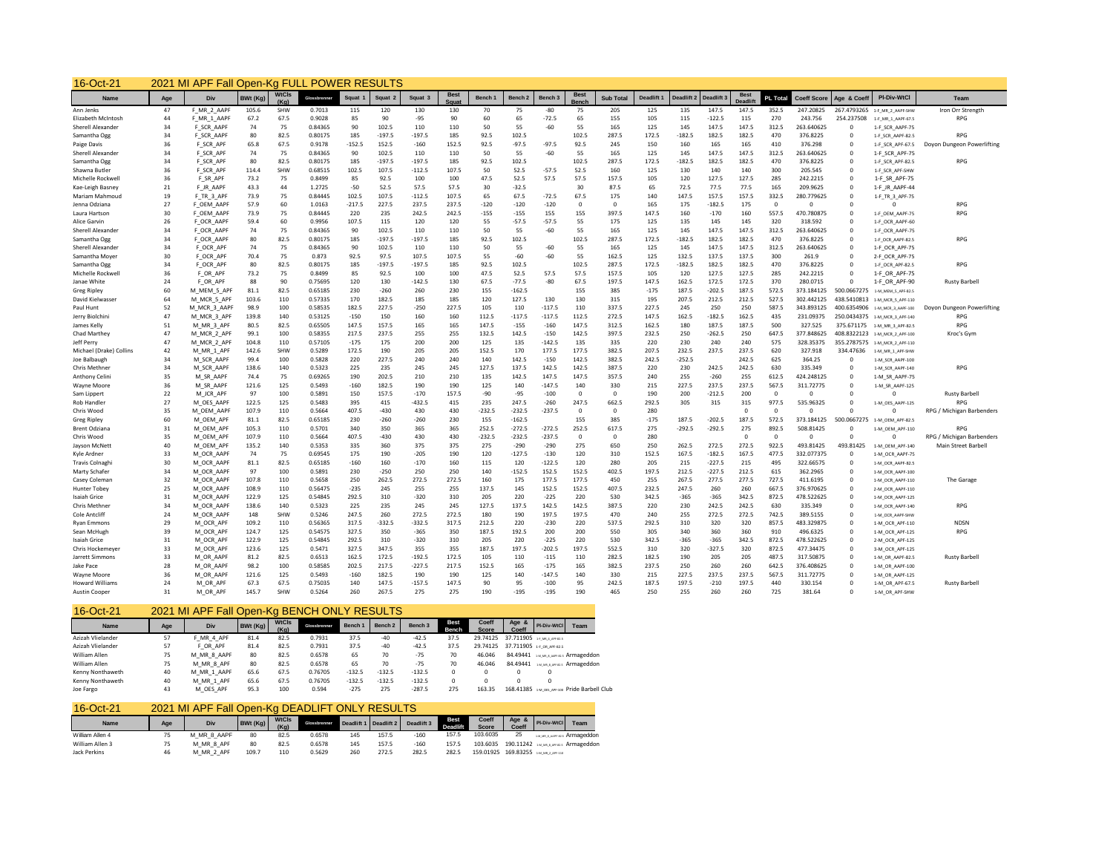| <b>WtCls</b><br><b>Best</b><br><b>Best</b><br><b>Best</b><br>PI-Div-WtCl<br>Age<br>Div<br><b>BWt (Ka)</b><br><b>Sub Total</b><br>PL Total<br><b>Coeff Score</b><br>Team<br>Name<br>Glossbrenne<br>Bench 1<br>Bench <sub>2</sub><br><b>Deadlift</b><br>Deadlift:<br>Age & Coef<br>Squat<br>Squat<br>Squat <sub>3</sub><br>Bench:<br><b>Deadlift</b><br>47<br>F MR 2 AAPF<br>105.6<br>SHW<br>0.7013<br>115<br>120<br>130<br>130<br>70<br>$-80$<br>75<br>205<br>125<br>135<br>147.5<br>147.5<br>352.5<br>247.20825<br>267.4793265<br>Iron Orr Strength<br>Ann Jenks<br>75<br>1-F MR 2 AAPF-SHW<br>$-72.5$<br>$-122.5$<br>Elizabeth McIntosh<br>44<br>F MR 1 AAPF<br>67.2<br>67.5<br>0.9028<br>85<br>90<br>$-95$<br>90<br>60<br>65<br>65<br>155<br>105<br>115<br>115<br>270<br>243.756<br>254.237508<br><b>RPG</b><br>1-F MR 1 AAPF-67.5<br>34<br>F SCR AAPF<br>74<br>75<br>0.84365<br>90<br>102.5<br>110<br>110<br>50<br>55<br>$-60$<br>55<br>165<br>125<br>147.5<br>147.5<br>312.5<br>263.640625<br>Sherell Alexander<br>145<br>$\Omega$<br>1-F SCR AAPF-75<br>34<br>F SCR AAPF<br>80<br>82.5<br>0.80175<br>185<br>$-197.5$<br>$-197.5$<br>185<br>92.5<br>102.5<br>102.5<br>287.5<br>172.5<br>$-182.5$<br>182.5<br>182.5<br>470<br>376.8225<br><b>RPG</b><br>Samantha Ogg<br>$\Omega$<br>1-F SCR AAPF-82.5<br>F SCR APF<br>65.8<br>67.5<br>$-152.5$<br>152.5<br>92.5<br>$-97.5$<br>92.5<br>165<br>Paige Davis<br>36<br>0.9178<br>$-160$<br>152.5<br>$-97.5$<br>245<br>150<br>160<br>165<br>410<br>376.298<br>$\Omega$<br>1-F_SCR_APF-67.5<br>Doyon Dungeon Powerlifting<br>34<br>F SCR APF<br>74<br>75<br>0.84365<br>90<br>102.5<br>110<br>110<br>50<br>55<br>-60<br>55<br>165<br>125<br>145<br>147.5<br>147.5<br>312.5<br>263.640625<br>Sherell Alexander<br>$\Omega$<br>1-F SCR APF-75<br>80<br>102.5<br>Samantha Ogg<br>34<br>F SCR APF<br>82.5<br>0.80175<br>185<br>$-197.5$<br>$-197.5$<br>185<br>92.5<br>102.5<br>287.5<br>172.5<br>$-182.5$<br>182.5<br>182.5<br>470<br>376.8225<br><b>RPG</b><br>$\Omega$<br>1-F SCR APF-82.5<br>F SCR_APF<br>114.4<br>SHW<br>102.5<br>107.5<br>$-112.5$<br>107.5<br>52.5<br>$-57.5$<br>52.5<br>140<br>300<br>Shawna Butler<br>36<br>0.68515<br>50<br>160<br>125<br>130<br>140<br>205.545<br>$^{\circ}$<br>1-F SCR APF-SHW<br>57.5<br>127.5<br>Michelle Rockwell<br>36<br>F SR APF<br>73.2<br>75<br>0.8499<br>85<br>92.5<br>100<br>100<br>47.5<br>52.5<br>57.5<br>157.5<br>105<br>120<br>127.5<br>285<br>242.2215<br>$\Omega$<br>1-F SR APF-75<br>43.3<br>44<br>$-50$<br>52.5<br>57.5<br>57.5<br>30<br>$-32.5$<br>65<br>72.5<br>77.5<br>77.5<br>165<br>Kae-Leigh Basney<br>21<br>F JR AAPF<br>1.2725<br>30<br>87.5<br>209.9625<br>$\Omega$<br>1-F JR AAPF-44<br>F TR 3 APF<br>73.9<br>75<br>0.84445<br>102.5<br>107.5<br>$-112.5$<br>107.5<br>65<br>67.5<br>$-72.5$<br>67.5<br>175<br>140<br>147.5<br>157.5<br>157.5<br>332.5<br>280.779625<br>Mariam Mahmoud<br>19<br>$^{\circ}$<br>1-F TR 3 APF-75<br>60<br>227.5<br>237.5<br>Jenna Odziana<br>27<br>F OEM AAPF<br>57.9<br>1.0163<br>$-217.5$<br>237.5<br>$-120$<br>$-120$<br>$-120$<br>$\Omega$<br>165<br>175<br>$-182.5$<br>175<br>$\Omega$<br>$\Omega$<br><b>RPG</b><br>$\Omega$<br>$\Omega$<br>557.5<br>30<br>F OEM AAPF<br>73.9<br>75<br>0.84445<br>220<br>235<br>242.5<br>242.5<br>$-155$<br>$-155$<br>155<br>155<br>397.5<br>147.5<br>160<br>$-170$<br>160<br>470.780875<br>$\Omega$<br><b>RPG</b><br>Laura Hartson<br>1-F OEM AAPF-75<br>60<br>107.5<br>26<br>F OCR AAPF<br>59.4<br>0.9956<br>115<br>120<br>120<br>55<br>$-57.5$<br>$-57.5$<br>55<br>175<br>125<br>135<br>145<br>145<br>320<br>318.592<br>$\Omega$<br>Alice Garvin<br>1-F OCR AAPF-60<br>75<br>90<br>102.5<br>125<br>147.5<br>147.5<br>Sherell Alexander<br>34<br>F OCR AAPF<br>74<br>0.84365<br>110<br>110<br>50<br>55<br>-60<br>55<br>165<br>145<br>312.5<br>263.640625<br>$^{\circ}$<br>1-F OCR AAPF-75<br>82.5<br>92.5<br>102.5<br>$-182.5$<br>Samantha Ogg<br>34<br>F OCR AAPF<br>80<br>0.80175<br>185<br>$-197.5$<br>$-197.5$<br>185<br>102.5<br>287.5<br>172.5<br>182.5<br>182.5<br>470<br>376.8225<br><b>RPG</b><br>$\Omega$<br>1-F OCR AAPF-82.5<br>F OCR APF<br>74<br>75<br>90<br>102.5<br>110<br>55<br>$-60$<br>55<br>125<br>145<br>147.5<br>147.5<br>312.5<br>Sherell Alexander<br>34<br>0.84365<br>110<br>50<br>165<br>263.640625<br>$^{\circ}$<br>1-F OCR APF-75<br>92.5<br>$-60$<br>55<br>30<br>70.4<br>75<br>97.5<br>107.5<br>107.5<br>55<br>-60<br>162.5<br>125<br>132.5<br>137.5<br>137.5<br>300<br>Samantha Moyer<br>F OCR APF<br>0.873<br>261.9<br>$^{\circ}$<br>2-F_OCR_APF-75<br>80<br>185<br>$-197.5$<br>92.5<br>102.5<br>102.5<br>172.5<br>$-182.5$<br>182.5<br>182.5<br>470<br>Samantha Ogg<br>34<br>F OCR APF<br>82.5<br>0.80175<br>$-197.5$<br>185<br>287.5<br>376.8225<br>$\Omega$<br><b>RPG</b><br>1-F OCR APF-82.5<br>36<br>73.2<br>75<br>85<br>47.5<br>52.5<br>57.5<br>57.5<br>127.5<br>285<br>F OR APF<br>92.5<br>100<br>100<br>157.5<br>105<br>120<br>127.5<br>242.2215<br>1-F OR APF-75<br>Michelle Rockwel<br>0.8499<br>$^{\circ}$<br>67.5<br>197.5<br>172.5<br>370<br>88<br>90<br>0.75695<br>120<br>130<br>$-142.5$<br>130<br>$-77.5$<br>$-80$<br>67.5<br>147.5<br>162.5<br>172.5<br>280.0715<br>24<br>F OR APF<br>$\Omega$<br>1-F_OR_APF-90<br>Janae White<br><b>Rusty Barbell</b><br>82.5<br>60<br>81.1<br>230<br>$-260$<br>230<br>155<br>$-162.5$<br>155<br>$-175$<br>187.5<br>$-202.5$<br>187.5<br>572.5<br><b>Greg Ripley</b><br>M MEM 5 APF<br>0.65185<br>260<br>385<br>373.184125<br>500.0667275<br>1-M MEM 5 APF-82.5<br>103.6<br>170<br>182.5<br>127.5<br>130<br>195<br>207.5<br>212.5<br>212.5<br>527.5<br>64<br>M MCR 5 APF<br>110<br>0.57335<br>185<br>185<br>120<br>130<br>315<br>302.442125<br>438.5410813<br>David Kielwasser<br>1-M_MCR_5_APF-110<br>52<br>100<br>182.5<br>227.5<br>$-250$<br>227.5<br>$-117.5$<br>337.5<br>227.5<br>250<br>587.5<br>98.9<br>0.58535<br>105<br>110<br>110<br>245<br>250<br>343.893125<br>M MCR 3 AAPF<br>400.6354906<br>Doyon Dungeon Powerlifting<br>Paul Hunt<br>1-M MCR 3 AAPF-100<br>150<br>$-117.5$<br>162.5<br>$-182.5$<br>47<br>139.8<br>140<br>0.53125<br>$-150$<br>160<br>160<br>112.5<br>$-117.5$<br>112.5<br>272.5<br>147.5<br>162.5<br>435<br>231.09375<br>Jerry Biolchin<br>M MCR 3 APF<br>250.0434375<br><b>RPG</b><br>1-M_MCR_3_APF-140<br>157.5<br>51<br>80.5<br>82.5<br>0.65505<br>147.5<br>165<br>165<br>147.5<br>$-160$<br>147.5<br>312.5<br>162.5<br>180<br>187.5<br>187.5<br>500<br>$-155$<br>327.525<br>375.671175<br><b>RPG</b><br>James Kelly<br>M MR 3 APF<br>1-M MR 3 APF-82.5<br>0.58355<br>217.5<br>237.5<br>255<br>255<br>132.5<br>142.5<br>$-150$<br>142.5<br>397.5<br>232.5<br>250<br>$-262.5$<br>250<br>647.5<br>408.8322123<br>47<br>M_MCR_2_APF<br>99.1<br>100<br>377.848625<br>Chad Marthey<br>Kroc's Gym<br>1-M_MCR_2_APF-100<br>$-142.5$<br>220<br>230<br>575<br>$\overline{4}$<br>104.8<br>110<br>$-175$<br>175<br>200<br>200<br>125<br>135<br>135<br>335<br>240<br>240<br>Jeff Perry<br>M MCR 2 APF<br>0.57105<br>328.35375<br>355.2787575<br>1-M MCR 2 APF-110<br>172.5<br>190<br>177.5<br>382.5<br>207.5<br>232.5<br>237.5<br>237.5<br>42<br>M MR 1 APF<br>142.6<br>SHW<br>0.5289<br>205<br>205<br>152.5<br>170<br>177.5<br>620<br>327.918<br>334.47636<br>Michael (Drake) Collin:<br>1-M MR 1 APF-SHW<br>34<br>99.4<br>100<br>0.5828<br>220<br>227.5<br>240<br>240<br>140<br>142.5<br>$-150$<br>142.5<br>382.5<br>242.5<br>$-252.5$<br>242.5<br>625<br>364.25<br>Joe Balbaugh<br>M SCR AAPF<br>$\Omega$<br>1-M_SCR_AAPF-100<br>225<br>142.5<br>387.5<br>34<br>138.6<br>140<br>0.5323<br>235<br>245<br>245<br>127.5<br>137.5<br>142.5<br>220<br>230<br>242.5<br>242.5<br>630<br>335.349<br>M SCR AAPF<br>$^{\circ}$<br><b>RPG</b><br>Chris Methner<br>1-M SCR AAPF-140<br>74.4<br>75<br>190<br>202.5<br>147.5<br>147.5<br>357.5<br>240<br>255<br>$-260$<br>255<br>35<br>M SR AAPF<br>0.69265<br>210<br>210<br>135<br>142.5<br>612.5<br>424.248125<br>$\Omega$<br>Anthony Celin<br>1-M_SR_AAPF-75<br>M SR AAPF<br>121.6<br>125<br>0.5493<br>$-160$<br>182.5<br>190<br>190<br>125<br>140<br>$-147.5$<br>140<br>330<br>215<br>227.5<br>237.5<br>237.5<br>567.5<br>311.72775<br>36<br>$^{\circ}$<br>1-M SR AAPF-125<br>Wayne Moore<br>97<br>100<br>157.5<br>$-95$<br>190<br>22<br>M JCR APF<br>0.5891<br>150<br>$-170$<br>157.5<br>$-90$<br>$-100$<br>$\Omega$<br>$\Omega$<br>200<br>$-212.5$<br>200<br>$\Omega$<br>$\Omega$<br>$\Omega$<br><b>Rusty Barbell</b><br>Sam Lippert<br>$\Omega$<br>27<br>M_OES_AAPF<br>122.5<br>125<br>0.5483<br>395<br>415<br>$-432.5$<br>415<br>235<br>247.5<br>$-260$<br>247.5<br>662.5<br>292.5<br>305<br>315<br>977.5<br>535.96325<br>RPG<br>315<br>$\Omega$<br>Rob Handler<br>1-M OES AAPF-125<br>Chris Wood<br>35<br>M OEM AAPF<br>107.9<br>110<br>0.5664<br>407.5<br>$-430$<br>430<br>430<br>$-232.5$<br>$-232.5$<br>$-237.5$<br>$\Omega$<br>280<br>$\Omega$<br>$\Omega$<br>$\Omega$<br>RPG / Michigan Barbenders<br>$\Omega$<br>$\Omega$<br>82.5<br>$-260$<br>$-162.5$<br>$-175$<br>187.5<br>$-202.5$<br>187.5<br>572.5<br>373.184125<br>500.0667275<br><b>Greg Ripley</b><br>60<br>M OEM APF<br>81.1<br>0.65185<br>230<br>$-260$<br>230<br>155<br>155<br>385<br>1-M OEM APF-82.5<br>31<br>M OEM APF<br>105.3<br>110<br>0.5701<br>340<br>350<br>365<br>365<br>252.5<br>$-272.5$<br>$-272.5$<br>252.5<br>617.5<br>275<br>$-292.5$<br>$-292.5$<br>275<br>892.5<br>508.81425<br>1-M OEM APF-110<br><b>Brent Odziana</b><br><b>RPG</b><br>$\Omega$<br>407.5<br>Chris Wood<br>35<br>M OEM APF<br>107.9<br>110<br>0.5664<br>$-430$<br>430<br>430<br>$-232.5$<br>$-232.5$<br>$-237.5$<br>$\Omega$<br>280<br>$\Omega$<br>$\Omega$<br>$\Omega$<br>RPG / Michigan Barbenders<br>$\Omega$<br>$\Omega$<br>$\Omega$<br>40<br>135.2<br>140<br>335<br>360<br>$-290$<br>275<br>650<br>250<br>262.5<br>272.5<br>272.5<br>922.5<br>493.81425<br>493.81425<br>Jayson McNett<br>M OEM APF<br>0.5353<br>375<br>375<br>275<br>$-290$<br>1-M OEM APF-140<br>Main Street Barbell<br>74<br>75<br>33<br>M OCR AAPF<br>0.69545<br>175<br>190<br>$-205$<br>190<br>120<br>$-127.5$<br>$-130$<br>120<br>310<br>152.5<br>167.5<br>$-182.5$<br>167.5<br>477.5<br>332.077375<br>Kyle Ardner<br>$\Omega$<br>1-M_OCR_AAPF-75<br>30<br>81.1<br>82.5<br>$-160$<br>160<br>160<br>$-122.5$<br>280<br>205<br>$-227.5$<br>495<br>322.66575<br><b>Travis Colnagh</b><br>M OCR AAPF<br>0.65185<br>$-170$<br>115<br>120<br>120<br>215<br>215<br>$^{\circ}$<br>1-M_OCR_AAPF-82.5<br>34<br>97<br>100<br>230<br>$-250$<br>250<br>250<br>140<br>$-152.5$<br>152.5<br>152.5<br>402.5<br>197.5<br>212.5<br>$-227.5$<br>212.5<br>615<br>362.2965<br>Marty Schafer<br>M OCR AAPF<br>0.5891<br>$\Omega$<br>1-M_OCR_AAPF-100<br>32<br>107.8<br>250<br>262.5<br>272.5<br>272.5<br>160<br>177.5<br>255<br>267.5<br>277.5<br>727.5<br>Casey Coleman<br>M OCR AAPF<br>110<br>0.5658<br>175<br>177.5<br>450<br>277.5<br>411.6195<br>$\Omega$<br>The Garage<br>1-M OCR AAPF-110<br>25<br>108.9<br>110<br>0.56475<br>$-235$<br>245<br>255<br>255<br>137.5<br>145<br>152.5<br>152.5<br>407.5<br>232.5<br>247.5<br>260<br>260<br>667.5<br>376.970625<br><b>Hunter Tobey</b><br>M OCR AAPF<br>$^{\circ}$<br>2-M_OCR_AAPF-110<br>$-365$<br>342.5<br><b>Isaiah Grice</b><br>31<br>M OCR AAPF<br>122.9<br>125<br>0.54845<br>292.5<br>310<br>$-320$<br>310<br>205<br>220<br>$-225$<br>220<br>530<br>342.5<br>$-365$<br>872.5<br>478.522625<br>$\Omega$<br>1-M_OCR_AAPF-125<br>34<br>138.6<br>140<br>0.5323<br>225<br>235<br>245<br>245<br>127.5<br>137.5<br>142.5<br>142.5<br>387.5<br>220<br>230<br>242.5<br>242.5<br>630<br>335.349<br>Chris Methner<br>M OCR AAPF<br>$^{\circ}$<br><b>RPG</b><br>1-M OCR AAPF-140<br>272.5<br>24<br>M OCR AAPF<br>148<br>SHW<br>0.5246<br>247.5<br>260<br>272.5<br>180<br>190<br>197.5<br>197.5<br>470<br>240<br>255<br>272.5<br>272.5<br>742.5<br>389.5155<br>Cole Antcliff<br>$\Omega$<br>1-M_OCR_AAPF-SHW<br>$-332.5$<br>29<br>109.2<br>$-332.5$<br>212.5<br>$-230$<br>537.5<br>292.5<br>857.5<br>M OCR APF<br>110<br>0.56365<br>317.5<br>317.5<br>220<br>220<br>310<br>320<br>320<br>483.329875<br>$^{\circ}$<br><b>NDSN</b><br>Ryan Emmons<br>1-M OCR APF-110<br>39<br>M OCR APF<br>124.7<br>125<br>0.54575<br>327.5<br>350<br>$-365$<br>350<br>187.5<br>192.5<br>200<br>200<br>550<br>305<br>340<br>360<br>360<br>910<br>496.6325<br>$\Omega$<br><b>RPG</b><br>Sean McHugh<br>1-M OCR APF-125<br>125<br>292.5<br>$-320$<br>$-225$<br>220<br>530<br>$-365$<br>$-365$<br>342.5<br>872.5<br><b>Isaiah Grice</b><br>31<br>M OCR APF<br>122.9<br>0.54845<br>310<br>310<br>205<br>220<br>342.5<br>478.522625<br>$\Omega$<br>2-M_OCR_APF-125<br>327.5<br>347.5<br>355<br>187.5<br>$-202.5$<br>33<br>123.6<br>125<br>355<br>197.5<br>197.5<br>552.5<br>310<br>320<br>$-327.5$<br>320<br>872.5<br>477.34475<br>Chris Hockemeye<br>M OCR APF<br>0.5471<br>$^{\circ}$<br>3-M OCR APF-125<br>Jarrett Simmons<br>33<br>M OR AAPF<br>81.2<br>82.5<br>0.6513<br>162.5<br>172.5<br>$-192.5$<br>172.5<br>105<br>110<br>$-115$<br>110<br>282.5<br>182.5<br>190<br>205<br>205<br>487.5<br>317.50875<br>$\Omega$<br>1-M OR AAPF-82.5<br><b>Rusty Barbell</b><br>98.2<br>100<br>0.58585<br>202.5<br>217.5<br>$-227.5$<br>217.5<br>152.5<br>165<br>165<br>382.5<br>237.5<br>250<br>260<br>260<br>642.5<br>Jake Pace<br>28<br>M OR AAPF<br>$-175$<br>376.408625<br>$^{\circ}$<br>1-M OR AAPF-100<br>227.5<br>125<br>182.5<br>190<br>125<br>$-147.5$<br>330<br>237.5<br>237.5<br>567.5<br>36<br>121.6<br>0.5493<br>$-160$<br>190<br>140<br>140<br>215<br>311.72775<br>Wayne Moore<br>M OR AAPF<br>$\Omega$<br>1-M_OR_AAPF-125<br>67.3<br>147.5<br>187.5<br>197.5<br><b>Howard Williams</b><br>24<br>M OR APF<br>67.5<br>0.75035<br>140<br>$-157.5$<br>147.5<br>90<br>95<br>$-100$<br>95<br>242.5<br>$-210$<br>197.5<br>440<br>330.154<br>$^{\circ}$<br>1-M OR APF-67.5<br><b>Rusty Barbell</b><br>267.5<br>260<br>725<br>Austin Cooper<br>31<br>M OR APF<br>145.7<br>SHW<br>260<br>275<br>275<br>190<br>$-195$<br>$-195$<br>190<br>465<br>250<br>255<br>260<br>381.64<br>$\Omega$<br>1-M OR APF-SHW<br>0.5264 | $16$ -Oct-2 | 2021 MI APF Fall Open-Kg FULL POWER RESULTS |  |  |  |  |  |  |  |  |  |  |  |
|------------------------------------------------------------------------------------------------------------------------------------------------------------------------------------------------------------------------------------------------------------------------------------------------------------------------------------------------------------------------------------------------------------------------------------------------------------------------------------------------------------------------------------------------------------------------------------------------------------------------------------------------------------------------------------------------------------------------------------------------------------------------------------------------------------------------------------------------------------------------------------------------------------------------------------------------------------------------------------------------------------------------------------------------------------------------------------------------------------------------------------------------------------------------------------------------------------------------------------------------------------------------------------------------------------------------------------------------------------------------------------------------------------------------------------------------------------------------------------------------------------------------------------------------------------------------------------------------------------------------------------------------------------------------------------------------------------------------------------------------------------------------------------------------------------------------------------------------------------------------------------------------------------------------------------------------------------------------------------------------------------------------------------------------------------------------------------------------------------------------------------------------------------------------------------------------------------------------------------------------------------------------------------------------------------------------------------------------------------------------------------------------------------------------------------------------------------------------------------------------------------------------------------------------------------------------------------------------------------------------------------------------------------------------------------------------------------------------------------------------------------------------------------------------------------------------------------------------------------------------------------------------------------------------------------------------------------------------------------------------------------------------------------------------------------------------------------------------------------------------------------------------------------------------------------------------------------------------------------------------------------------------------------------------------------------------------------------------------------------------------------------------------------------------------------------------------------------------------------------------------------------------------------------------------------------------------------------------------------------------------------------------------------------------------------------------------------------------------------------------------------------------------------------------------------------------------------------------------------------------------------------------------------------------------------------------------------------------------------------------------------------------------------------------------------------------------------------------------------------------------------------------------------------------------------------------------------------------------------------------------------------------------------------------------------------------------------------------------------------------------------------------------------------------------------------------------------------------------------------------------------------------------------------------------------------------------------------------------------------------------------------------------------------------------------------------------------------------------------------------------------------------------------------------------------------------------------------------------------------------------------------------------------------------------------------------------------------------------------------------------------------------------------------------------------------------------------------------------------------------------------------------------------------------------------------------------------------------------------------------------------------------------------------------------------------------------------------------------------------------------------------------------------------------------------------------------------------------------------------------------------------------------------------------------------------------------------------------------------------------------------------------------------------------------------------------------------------------------------------------------------------------------------------------------------------------------------------------------------------------------------------------------------------------------------------------------------------------------------------------------------------------------------------------------------------------------------------------------------------------------------------------------------------------------------------------------------------------------------------------------------------------------------------------------------------------------------------------------------------------------------------------------------------------------------------------------------------------------------------------------------------------------------------------------------------------------------------------------------------------------------------------------------------------------------------------------------------------------------------------------------------------------------------------------------------------------------------------------------------------------------------------------------------------------------------------------------------------------------------------------------------------------------------------------------------------------------------------------------------------------------------------------------------------------------------------------------------------------------------------------------------------------------------------------------------------------------------------------------------------------------------------------------------------------------------------------------------------------------------------------------------------------------------------------------------------------------------------------------------------------------------------------------------------------------------------------------------------------------------------------------------------------------------------------------------------------------------------------------------------------------------------------------------------------------------------------------------------------------------------------------------------------------------------------------------------------------------------------------------------------------------------------------------------------------------------------------------------------------------------------------------------------------------------------------------------------------------------------------------------------------------------------------------------------------------------------------------------------------------------------------------------------------------------------------------------------------------------------------------------------------------------------------------------------------------------------------------------------------------------------------------------------------------------------------------------------------------------------------------------------------------------------------------------------------------------------------------------------------------------------------------------------------------------------------------------------------------------------------------------------------------------------------------------------------------------------------------------------------------------------------------------------------------------------------------------------------------------------------------------------------------------------------------------------------------------------------------------------------------------------------------------------------------------------------------------------------------------------------------------------------------------------------------------------------------------------------------------------------------------------------------------------------------------------------------------------------------------------------------------------------------------------------------------------------------------------------------------------------------------------------------------------------------------------------------------------------------------------------------------------------------------------------------------------------------------------------------------------------------------------------------------------------------------------------------------------------------------------------------------------------------------------------------------------------------------------------------------------------------------------------------------------------------------------------------------------------------------------------------------------------------------------------------------------------------------------------------------------------------------------------------------------------------------------------------------------------------------------------------------------------------------------------------------------------------------------------------------------------------------------------------------------------------------------------------------------------------------------------------------------------------------------------------------------------------------------------------------------------------------------------------------------------------------------------------------------------------------------------------------------------------------------------------------------------------------------------------------------------------------------------------------------------------------------------------------------------------------------------------------------------------------------------------------------------------------------------------------------------------------------------------------------------------------------------------------------------------------------------------------------------------------------------------------------------------------------------------------------------------------------------------------------------------------------------------------------------------------------------------------------------------------------------------------------------------------------------------------------------------------------------------------------------------------------------------------------------------------------------------------------------------------------------------------------------------------------------------------------------------------------------------------------------------------------------------------------------------------------------------------------------------------------------------------------------------------------------------------------------------------------------------------------------------------------------------------------------------------------------------------------------------------------------------------------------------------------------------------------------------------------------------------------------------------------------------------------------------------------------------------------------------------------------------------------------------------------------------------------------------------------------------------------------------------------------------------------------------------------------------------------------------------------------------------------------------------------------------------------------------------------------------------------------------------------------------------------------------------------------------------------------------------------------------------------------------------------------------------------------------------------------------------------------------------------------------------------------------------------------------------------------------------------------------------------------------------------------------------------------------------------------------------------------------------------------------------------------------|-------------|---------------------------------------------|--|--|--|--|--|--|--|--|--|--|--|
|                                                                                                                                                                                                                                                                                                                                                                                                                                                                                                                                                                                                                                                                                                                                                                                                                                                                                                                                                                                                                                                                                                                                                                                                                                                                                                                                                                                                                                                                                                                                                                                                                                                                                                                                                                                                                                                                                                                                                                                                                                                                                                                                                                                                                                                                                                                                                                                                                                                                                                                                                                                                                                                                                                                                                                                                                                                                                                                                                                                                                                                                                                                                                                                                                                                                                                                                                                                                                                                                                                                                                                                                                                                                                                                                                                                                                                                                                                                                                                                                                                                                                                                                                                                                                                                                                                                                                                                                                                                                                                                                                                                                                                                                                                                                                                                                                                                                                                                                                                                                                                                                                                                                                                                                                                                                                                                                                                                                                                                                                                                                                                                                                                                                                                                                                                                                                                                                                                                                                                                                                                                                                                                                                                                                                                                                                                                                                                                                                                                                                                                                                                                                                                                                                                                                                                                                                                                                                                                                                                                                                                                                                                                                                                                                                                                                                                                                                                                                                                                                                                                                                                                                                                                                                                                                                                                                                                                                                                                                                                                                                                                                                                                                                                                                                                                                                                                                                                                                                                                                                                                                                                                                                                                                                                                                                                                                                                                                                                                                                                                                                                                                                                                                                                                                                                                                                                                                                                                                                                                                                                                                                                                                                                                                                                                                                                                                                                                                                                                                                                                                                                                                                                                                                                                                                                                                                                                                                                                                                                                                                                                                                                                                                                                                                                                                                                                                                                                                                                                                                                                                                                                                                                                                                                                                                                                                                                                                                                                                                                                                                                                                                                                                                                                                                                                                                                                                                                                                                                                                                                                                                                                                                                                                                                                                                                                                                                                                                                                                                                                                                                                                                                                                                                                                                                                                                                                                                                                                                                                                                                                                                                                                                                                                                                                                                                                                                                                                                                                                                                                                                                                                                                                                                                                                                                                                                                                                                                                                                                                                                                                                                                                                                          |             |                                             |  |  |  |  |  |  |  |  |  |  |  |
|                                                                                                                                                                                                                                                                                                                                                                                                                                                                                                                                                                                                                                                                                                                                                                                                                                                                                                                                                                                                                                                                                                                                                                                                                                                                                                                                                                                                                                                                                                                                                                                                                                                                                                                                                                                                                                                                                                                                                                                                                                                                                                                                                                                                                                                                                                                                                                                                                                                                                                                                                                                                                                                                                                                                                                                                                                                                                                                                                                                                                                                                                                                                                                                                                                                                                                                                                                                                                                                                                                                                                                                                                                                                                                                                                                                                                                                                                                                                                                                                                                                                                                                                                                                                                                                                                                                                                                                                                                                                                                                                                                                                                                                                                                                                                                                                                                                                                                                                                                                                                                                                                                                                                                                                                                                                                                                                                                                                                                                                                                                                                                                                                                                                                                                                                                                                                                                                                                                                                                                                                                                                                                                                                                                                                                                                                                                                                                                                                                                                                                                                                                                                                                                                                                                                                                                                                                                                                                                                                                                                                                                                                                                                                                                                                                                                                                                                                                                                                                                                                                                                                                                                                                                                                                                                                                                                                                                                                                                                                                                                                                                                                                                                                                                                                                                                                                                                                                                                                                                                                                                                                                                                                                                                                                                                                                                                                                                                                                                                                                                                                                                                                                                                                                                                                                                                                                                                                                                                                                                                                                                                                                                                                                                                                                                                                                                                                                                                                                                                                                                                                                                                                                                                                                                                                                                                                                                                                                                                                                                                                                                                                                                                                                                                                                                                                                                                                                                                                                                                                                                                                                                                                                                                                                                                                                                                                                                                                                                                                                                                                                                                                                                                                                                                                                                                                                                                                                                                                                                                                                                                                                                                                                                                                                                                                                                                                                                                                                                                                                                                                                                                                                                                                                                                                                                                                                                                                                                                                                                                                                                                                                                                                                                                                                                                                                                                                                                                                                                                                                                                                                                                                                                                                                                                                                                                                                                                                                                                                                                                                                                                                                                                                          |             |                                             |  |  |  |  |  |  |  |  |  |  |  |
|                                                                                                                                                                                                                                                                                                                                                                                                                                                                                                                                                                                                                                                                                                                                                                                                                                                                                                                                                                                                                                                                                                                                                                                                                                                                                                                                                                                                                                                                                                                                                                                                                                                                                                                                                                                                                                                                                                                                                                                                                                                                                                                                                                                                                                                                                                                                                                                                                                                                                                                                                                                                                                                                                                                                                                                                                                                                                                                                                                                                                                                                                                                                                                                                                                                                                                                                                                                                                                                                                                                                                                                                                                                                                                                                                                                                                                                                                                                                                                                                                                                                                                                                                                                                                                                                                                                                                                                                                                                                                                                                                                                                                                                                                                                                                                                                                                                                                                                                                                                                                                                                                                                                                                                                                                                                                                                                                                                                                                                                                                                                                                                                                                                                                                                                                                                                                                                                                                                                                                                                                                                                                                                                                                                                                                                                                                                                                                                                                                                                                                                                                                                                                                                                                                                                                                                                                                                                                                                                                                                                                                                                                                                                                                                                                                                                                                                                                                                                                                                                                                                                                                                                                                                                                                                                                                                                                                                                                                                                                                                                                                                                                                                                                                                                                                                                                                                                                                                                                                                                                                                                                                                                                                                                                                                                                                                                                                                                                                                                                                                                                                                                                                                                                                                                                                                                                                                                                                                                                                                                                                                                                                                                                                                                                                                                                                                                                                                                                                                                                                                                                                                                                                                                                                                                                                                                                                                                                                                                                                                                                                                                                                                                                                                                                                                                                                                                                                                                                                                                                                                                                                                                                                                                                                                                                                                                                                                                                                                                                                                                                                                                                                                                                                                                                                                                                                                                                                                                                                                                                                                                                                                                                                                                                                                                                                                                                                                                                                                                                                                                                                                                                                                                                                                                                                                                                                                                                                                                                                                                                                                                                                                                                                                                                                                                                                                                                                                                                                                                                                                                                                                                                                                                                                                                                                                                                                                                                                                                                                                                                                                                                                                                                          |             |                                             |  |  |  |  |  |  |  |  |  |  |  |
|                                                                                                                                                                                                                                                                                                                                                                                                                                                                                                                                                                                                                                                                                                                                                                                                                                                                                                                                                                                                                                                                                                                                                                                                                                                                                                                                                                                                                                                                                                                                                                                                                                                                                                                                                                                                                                                                                                                                                                                                                                                                                                                                                                                                                                                                                                                                                                                                                                                                                                                                                                                                                                                                                                                                                                                                                                                                                                                                                                                                                                                                                                                                                                                                                                                                                                                                                                                                                                                                                                                                                                                                                                                                                                                                                                                                                                                                                                                                                                                                                                                                                                                                                                                                                                                                                                                                                                                                                                                                                                                                                                                                                                                                                                                                                                                                                                                                                                                                                                                                                                                                                                                                                                                                                                                                                                                                                                                                                                                                                                                                                                                                                                                                                                                                                                                                                                                                                                                                                                                                                                                                                                                                                                                                                                                                                                                                                                                                                                                                                                                                                                                                                                                                                                                                                                                                                                                                                                                                                                                                                                                                                                                                                                                                                                                                                                                                                                                                                                                                                                                                                                                                                                                                                                                                                                                                                                                                                                                                                                                                                                                                                                                                                                                                                                                                                                                                                                                                                                                                                                                                                                                                                                                                                                                                                                                                                                                                                                                                                                                                                                                                                                                                                                                                                                                                                                                                                                                                                                                                                                                                                                                                                                                                                                                                                                                                                                                                                                                                                                                                                                                                                                                                                                                                                                                                                                                                                                                                                                                                                                                                                                                                                                                                                                                                                                                                                                                                                                                                                                                                                                                                                                                                                                                                                                                                                                                                                                                                                                                                                                                                                                                                                                                                                                                                                                                                                                                                                                                                                                                                                                                                                                                                                                                                                                                                                                                                                                                                                                                                                                                                                                                                                                                                                                                                                                                                                                                                                                                                                                                                                                                                                                                                                                                                                                                                                                                                                                                                                                                                                                                                                                                                                                                                                                                                                                                                                                                                                                                                                                                                                                                                                          |             |                                             |  |  |  |  |  |  |  |  |  |  |  |
|                                                                                                                                                                                                                                                                                                                                                                                                                                                                                                                                                                                                                                                                                                                                                                                                                                                                                                                                                                                                                                                                                                                                                                                                                                                                                                                                                                                                                                                                                                                                                                                                                                                                                                                                                                                                                                                                                                                                                                                                                                                                                                                                                                                                                                                                                                                                                                                                                                                                                                                                                                                                                                                                                                                                                                                                                                                                                                                                                                                                                                                                                                                                                                                                                                                                                                                                                                                                                                                                                                                                                                                                                                                                                                                                                                                                                                                                                                                                                                                                                                                                                                                                                                                                                                                                                                                                                                                                                                                                                                                                                                                                                                                                                                                                                                                                                                                                                                                                                                                                                                                                                                                                                                                                                                                                                                                                                                                                                                                                                                                                                                                                                                                                                                                                                                                                                                                                                                                                                                                                                                                                                                                                                                                                                                                                                                                                                                                                                                                                                                                                                                                                                                                                                                                                                                                                                                                                                                                                                                                                                                                                                                                                                                                                                                                                                                                                                                                                                                                                                                                                                                                                                                                                                                                                                                                                                                                                                                                                                                                                                                                                                                                                                                                                                                                                                                                                                                                                                                                                                                                                                                                                                                                                                                                                                                                                                                                                                                                                                                                                                                                                                                                                                                                                                                                                                                                                                                                                                                                                                                                                                                                                                                                                                                                                                                                                                                                                                                                                                                                                                                                                                                                                                                                                                                                                                                                                                                                                                                                                                                                                                                                                                                                                                                                                                                                                                                                                                                                                                                                                                                                                                                                                                                                                                                                                                                                                                                                                                                                                                                                                                                                                                                                                                                                                                                                                                                                                                                                                                                                                                                                                                                                                                                                                                                                                                                                                                                                                                                                                                                                                                                                                                                                                                                                                                                                                                                                                                                                                                                                                                                                                                                                                                                                                                                                                                                                                                                                                                                                                                                                                                                                                                                                                                                                                                                                                                                                                                                                                                                                                                                                                                          |             |                                             |  |  |  |  |  |  |  |  |  |  |  |
|                                                                                                                                                                                                                                                                                                                                                                                                                                                                                                                                                                                                                                                                                                                                                                                                                                                                                                                                                                                                                                                                                                                                                                                                                                                                                                                                                                                                                                                                                                                                                                                                                                                                                                                                                                                                                                                                                                                                                                                                                                                                                                                                                                                                                                                                                                                                                                                                                                                                                                                                                                                                                                                                                                                                                                                                                                                                                                                                                                                                                                                                                                                                                                                                                                                                                                                                                                                                                                                                                                                                                                                                                                                                                                                                                                                                                                                                                                                                                                                                                                                                                                                                                                                                                                                                                                                                                                                                                                                                                                                                                                                                                                                                                                                                                                                                                                                                                                                                                                                                                                                                                                                                                                                                                                                                                                                                                                                                                                                                                                                                                                                                                                                                                                                                                                                                                                                                                                                                                                                                                                                                                                                                                                                                                                                                                                                                                                                                                                                                                                                                                                                                                                                                                                                                                                                                                                                                                                                                                                                                                                                                                                                                                                                                                                                                                                                                                                                                                                                                                                                                                                                                                                                                                                                                                                                                                                                                                                                                                                                                                                                                                                                                                                                                                                                                                                                                                                                                                                                                                                                                                                                                                                                                                                                                                                                                                                                                                                                                                                                                                                                                                                                                                                                                                                                                                                                                                                                                                                                                                                                                                                                                                                                                                                                                                                                                                                                                                                                                                                                                                                                                                                                                                                                                                                                                                                                                                                                                                                                                                                                                                                                                                                                                                                                                                                                                                                                                                                                                                                                                                                                                                                                                                                                                                                                                                                                                                                                                                                                                                                                                                                                                                                                                                                                                                                                                                                                                                                                                                                                                                                                                                                                                                                                                                                                                                                                                                                                                                                                                                                                                                                                                                                                                                                                                                                                                                                                                                                                                                                                                                                                                                                                                                                                                                                                                                                                                                                                                                                                                                                                                                                                                                                                                                                                                                                                                                                                                                                                                                                                                                                                                                          |             |                                             |  |  |  |  |  |  |  |  |  |  |  |
|                                                                                                                                                                                                                                                                                                                                                                                                                                                                                                                                                                                                                                                                                                                                                                                                                                                                                                                                                                                                                                                                                                                                                                                                                                                                                                                                                                                                                                                                                                                                                                                                                                                                                                                                                                                                                                                                                                                                                                                                                                                                                                                                                                                                                                                                                                                                                                                                                                                                                                                                                                                                                                                                                                                                                                                                                                                                                                                                                                                                                                                                                                                                                                                                                                                                                                                                                                                                                                                                                                                                                                                                                                                                                                                                                                                                                                                                                                                                                                                                                                                                                                                                                                                                                                                                                                                                                                                                                                                                                                                                                                                                                                                                                                                                                                                                                                                                                                                                                                                                                                                                                                                                                                                                                                                                                                                                                                                                                                                                                                                                                                                                                                                                                                                                                                                                                                                                                                                                                                                                                                                                                                                                                                                                                                                                                                                                                                                                                                                                                                                                                                                                                                                                                                                                                                                                                                                                                                                                                                                                                                                                                                                                                                                                                                                                                                                                                                                                                                                                                                                                                                                                                                                                                                                                                                                                                                                                                                                                                                                                                                                                                                                                                                                                                                                                                                                                                                                                                                                                                                                                                                                                                                                                                                                                                                                                                                                                                                                                                                                                                                                                                                                                                                                                                                                                                                                                                                                                                                                                                                                                                                                                                                                                                                                                                                                                                                                                                                                                                                                                                                                                                                                                                                                                                                                                                                                                                                                                                                                                                                                                                                                                                                                                                                                                                                                                                                                                                                                                                                                                                                                                                                                                                                                                                                                                                                                                                                                                                                                                                                                                                                                                                                                                                                                                                                                                                                                                                                                                                                                                                                                                                                                                                                                                                                                                                                                                                                                                                                                                                                                                                                                                                                                                                                                                                                                                                                                                                                                                                                                                                                                                                                                                                                                                                                                                                                                                                                                                                                                                                                                                                                                                                                                                                                                                                                                                                                                                                                                                                                                                                                                                                          |             |                                             |  |  |  |  |  |  |  |  |  |  |  |
|                                                                                                                                                                                                                                                                                                                                                                                                                                                                                                                                                                                                                                                                                                                                                                                                                                                                                                                                                                                                                                                                                                                                                                                                                                                                                                                                                                                                                                                                                                                                                                                                                                                                                                                                                                                                                                                                                                                                                                                                                                                                                                                                                                                                                                                                                                                                                                                                                                                                                                                                                                                                                                                                                                                                                                                                                                                                                                                                                                                                                                                                                                                                                                                                                                                                                                                                                                                                                                                                                                                                                                                                                                                                                                                                                                                                                                                                                                                                                                                                                                                                                                                                                                                                                                                                                                                                                                                                                                                                                                                                                                                                                                                                                                                                                                                                                                                                                                                                                                                                                                                                                                                                                                                                                                                                                                                                                                                                                                                                                                                                                                                                                                                                                                                                                                                                                                                                                                                                                                                                                                                                                                                                                                                                                                                                                                                                                                                                                                                                                                                                                                                                                                                                                                                                                                                                                                                                                                                                                                                                                                                                                                                                                                                                                                                                                                                                                                                                                                                                                                                                                                                                                                                                                                                                                                                                                                                                                                                                                                                                                                                                                                                                                                                                                                                                                                                                                                                                                                                                                                                                                                                                                                                                                                                                                                                                                                                                                                                                                                                                                                                                                                                                                                                                                                                                                                                                                                                                                                                                                                                                                                                                                                                                                                                                                                                                                                                                                                                                                                                                                                                                                                                                                                                                                                                                                                                                                                                                                                                                                                                                                                                                                                                                                                                                                                                                                                                                                                                                                                                                                                                                                                                                                                                                                                                                                                                                                                                                                                                                                                                                                                                                                                                                                                                                                                                                                                                                                                                                                                                                                                                                                                                                                                                                                                                                                                                                                                                                                                                                                                                                                                                                                                                                                                                                                                                                                                                                                                                                                                                                                                                                                                                                                                                                                                                                                                                                                                                                                                                                                                                                                                                                                                                                                                                                                                                                                                                                                                                                                                                                                                                                                          |             |                                             |  |  |  |  |  |  |  |  |  |  |  |
|                                                                                                                                                                                                                                                                                                                                                                                                                                                                                                                                                                                                                                                                                                                                                                                                                                                                                                                                                                                                                                                                                                                                                                                                                                                                                                                                                                                                                                                                                                                                                                                                                                                                                                                                                                                                                                                                                                                                                                                                                                                                                                                                                                                                                                                                                                                                                                                                                                                                                                                                                                                                                                                                                                                                                                                                                                                                                                                                                                                                                                                                                                                                                                                                                                                                                                                                                                                                                                                                                                                                                                                                                                                                                                                                                                                                                                                                                                                                                                                                                                                                                                                                                                                                                                                                                                                                                                                                                                                                                                                                                                                                                                                                                                                                                                                                                                                                                                                                                                                                                                                                                                                                                                                                                                                                                                                                                                                                                                                                                                                                                                                                                                                                                                                                                                                                                                                                                                                                                                                                                                                                                                                                                                                                                                                                                                                                                                                                                                                                                                                                                                                                                                                                                                                                                                                                                                                                                                                                                                                                                                                                                                                                                                                                                                                                                                                                                                                                                                                                                                                                                                                                                                                                                                                                                                                                                                                                                                                                                                                                                                                                                                                                                                                                                                                                                                                                                                                                                                                                                                                                                                                                                                                                                                                                                                                                                                                                                                                                                                                                                                                                                                                                                                                                                                                                                                                                                                                                                                                                                                                                                                                                                                                                                                                                                                                                                                                                                                                                                                                                                                                                                                                                                                                                                                                                                                                                                                                                                                                                                                                                                                                                                                                                                                                                                                                                                                                                                                                                                                                                                                                                                                                                                                                                                                                                                                                                                                                                                                                                                                                                                                                                                                                                                                                                                                                                                                                                                                                                                                                                                                                                                                                                                                                                                                                                                                                                                                                                                                                                                                                                                                                                                                                                                                                                                                                                                                                                                                                                                                                                                                                                                                                                                                                                                                                                                                                                                                                                                                                                                                                                                                                                                                                                                                                                                                                                                                                                                                                                                                                                                                                                                          |             |                                             |  |  |  |  |  |  |  |  |  |  |  |
|                                                                                                                                                                                                                                                                                                                                                                                                                                                                                                                                                                                                                                                                                                                                                                                                                                                                                                                                                                                                                                                                                                                                                                                                                                                                                                                                                                                                                                                                                                                                                                                                                                                                                                                                                                                                                                                                                                                                                                                                                                                                                                                                                                                                                                                                                                                                                                                                                                                                                                                                                                                                                                                                                                                                                                                                                                                                                                                                                                                                                                                                                                                                                                                                                                                                                                                                                                                                                                                                                                                                                                                                                                                                                                                                                                                                                                                                                                                                                                                                                                                                                                                                                                                                                                                                                                                                                                                                                                                                                                                                                                                                                                                                                                                                                                                                                                                                                                                                                                                                                                                                                                                                                                                                                                                                                                                                                                                                                                                                                                                                                                                                                                                                                                                                                                                                                                                                                                                                                                                                                                                                                                                                                                                                                                                                                                                                                                                                                                                                                                                                                                                                                                                                                                                                                                                                                                                                                                                                                                                                                                                                                                                                                                                                                                                                                                                                                                                                                                                                                                                                                                                                                                                                                                                                                                                                                                                                                                                                                                                                                                                                                                                                                                                                                                                                                                                                                                                                                                                                                                                                                                                                                                                                                                                                                                                                                                                                                                                                                                                                                                                                                                                                                                                                                                                                                                                                                                                                                                                                                                                                                                                                                                                                                                                                                                                                                                                                                                                                                                                                                                                                                                                                                                                                                                                                                                                                                                                                                                                                                                                                                                                                                                                                                                                                                                                                                                                                                                                                                                                                                                                                                                                                                                                                                                                                                                                                                                                                                                                                                                                                                                                                                                                                                                                                                                                                                                                                                                                                                                                                                                                                                                                                                                                                                                                                                                                                                                                                                                                                                                                                                                                                                                                                                                                                                                                                                                                                                                                                                                                                                                                                                                                                                                                                                                                                                                                                                                                                                                                                                                                                                                                                                                                                                                                                                                                                                                                                                                                                                                                                                                                                                          |             |                                             |  |  |  |  |  |  |  |  |  |  |  |
|                                                                                                                                                                                                                                                                                                                                                                                                                                                                                                                                                                                                                                                                                                                                                                                                                                                                                                                                                                                                                                                                                                                                                                                                                                                                                                                                                                                                                                                                                                                                                                                                                                                                                                                                                                                                                                                                                                                                                                                                                                                                                                                                                                                                                                                                                                                                                                                                                                                                                                                                                                                                                                                                                                                                                                                                                                                                                                                                                                                                                                                                                                                                                                                                                                                                                                                                                                                                                                                                                                                                                                                                                                                                                                                                                                                                                                                                                                                                                                                                                                                                                                                                                                                                                                                                                                                                                                                                                                                                                                                                                                                                                                                                                                                                                                                                                                                                                                                                                                                                                                                                                                                                                                                                                                                                                                                                                                                                                                                                                                                                                                                                                                                                                                                                                                                                                                                                                                                                                                                                                                                                                                                                                                                                                                                                                                                                                                                                                                                                                                                                                                                                                                                                                                                                                                                                                                                                                                                                                                                                                                                                                                                                                                                                                                                                                                                                                                                                                                                                                                                                                                                                                                                                                                                                                                                                                                                                                                                                                                                                                                                                                                                                                                                                                                                                                                                                                                                                                                                                                                                                                                                                                                                                                                                                                                                                                                                                                                                                                                                                                                                                                                                                                                                                                                                                                                                                                                                                                                                                                                                                                                                                                                                                                                                                                                                                                                                                                                                                                                                                                                                                                                                                                                                                                                                                                                                                                                                                                                                                                                                                                                                                                                                                                                                                                                                                                                                                                                                                                                                                                                                                                                                                                                                                                                                                                                                                                                                                                                                                                                                                                                                                                                                                                                                                                                                                                                                                                                                                                                                                                                                                                                                                                                                                                                                                                                                                                                                                                                                                                                                                                                                                                                                                                                                                                                                                                                                                                                                                                                                                                                                                                                                                                                                                                                                                                                                                                                                                                                                                                                                                                                                                                                                                                                                                                                                                                                                                                                                                                                                                                                                                                          |             |                                             |  |  |  |  |  |  |  |  |  |  |  |
|                                                                                                                                                                                                                                                                                                                                                                                                                                                                                                                                                                                                                                                                                                                                                                                                                                                                                                                                                                                                                                                                                                                                                                                                                                                                                                                                                                                                                                                                                                                                                                                                                                                                                                                                                                                                                                                                                                                                                                                                                                                                                                                                                                                                                                                                                                                                                                                                                                                                                                                                                                                                                                                                                                                                                                                                                                                                                                                                                                                                                                                                                                                                                                                                                                                                                                                                                                                                                                                                                                                                                                                                                                                                                                                                                                                                                                                                                                                                                                                                                                                                                                                                                                                                                                                                                                                                                                                                                                                                                                                                                                                                                                                                                                                                                                                                                                                                                                                                                                                                                                                                                                                                                                                                                                                                                                                                                                                                                                                                                                                                                                                                                                                                                                                                                                                                                                                                                                                                                                                                                                                                                                                                                                                                                                                                                                                                                                                                                                                                                                                                                                                                                                                                                                                                                                                                                                                                                                                                                                                                                                                                                                                                                                                                                                                                                                                                                                                                                                                                                                                                                                                                                                                                                                                                                                                                                                                                                                                                                                                                                                                                                                                                                                                                                                                                                                                                                                                                                                                                                                                                                                                                                                                                                                                                                                                                                                                                                                                                                                                                                                                                                                                                                                                                                                                                                                                                                                                                                                                                                                                                                                                                                                                                                                                                                                                                                                                                                                                                                                                                                                                                                                                                                                                                                                                                                                                                                                                                                                                                                                                                                                                                                                                                                                                                                                                                                                                                                                                                                                                                                                                                                                                                                                                                                                                                                                                                                                                                                                                                                                                                                                                                                                                                                                                                                                                                                                                                                                                                                                                                                                                                                                                                                                                                                                                                                                                                                                                                                                                                                                                                                                                                                                                                                                                                                                                                                                                                                                                                                                                                                                                                                                                                                                                                                                                                                                                                                                                                                                                                                                                                                                                                                                                                                                                                                                                                                                                                                                                                                                                                                                                                                          |             |                                             |  |  |  |  |  |  |  |  |  |  |  |
|                                                                                                                                                                                                                                                                                                                                                                                                                                                                                                                                                                                                                                                                                                                                                                                                                                                                                                                                                                                                                                                                                                                                                                                                                                                                                                                                                                                                                                                                                                                                                                                                                                                                                                                                                                                                                                                                                                                                                                                                                                                                                                                                                                                                                                                                                                                                                                                                                                                                                                                                                                                                                                                                                                                                                                                                                                                                                                                                                                                                                                                                                                                                                                                                                                                                                                                                                                                                                                                                                                                                                                                                                                                                                                                                                                                                                                                                                                                                                                                                                                                                                                                                                                                                                                                                                                                                                                                                                                                                                                                                                                                                                                                                                                                                                                                                                                                                                                                                                                                                                                                                                                                                                                                                                                                                                                                                                                                                                                                                                                                                                                                                                                                                                                                                                                                                                                                                                                                                                                                                                                                                                                                                                                                                                                                                                                                                                                                                                                                                                                                                                                                                                                                                                                                                                                                                                                                                                                                                                                                                                                                                                                                                                                                                                                                                                                                                                                                                                                                                                                                                                                                                                                                                                                                                                                                                                                                                                                                                                                                                                                                                                                                                                                                                                                                                                                                                                                                                                                                                                                                                                                                                                                                                                                                                                                                                                                                                                                                                                                                                                                                                                                                                                                                                                                                                                                                                                                                                                                                                                                                                                                                                                                                                                                                                                                                                                                                                                                                                                                                                                                                                                                                                                                                                                                                                                                                                                                                                                                                                                                                                                                                                                                                                                                                                                                                                                                                                                                                                                                                                                                                                                                                                                                                                                                                                                                                                                                                                                                                                                                                                                                                                                                                                                                                                                                                                                                                                                                                                                                                                                                                                                                                                                                                                                                                                                                                                                                                                                                                                                                                                                                                                                                                                                                                                                                                                                                                                                                                                                                                                                                                                                                                                                                                                                                                                                                                                                                                                                                                                                                                                                                                                                                                                                                                                                                                                                                                                                                                                                                                                                                                                                          |             |                                             |  |  |  |  |  |  |  |  |  |  |  |
|                                                                                                                                                                                                                                                                                                                                                                                                                                                                                                                                                                                                                                                                                                                                                                                                                                                                                                                                                                                                                                                                                                                                                                                                                                                                                                                                                                                                                                                                                                                                                                                                                                                                                                                                                                                                                                                                                                                                                                                                                                                                                                                                                                                                                                                                                                                                                                                                                                                                                                                                                                                                                                                                                                                                                                                                                                                                                                                                                                                                                                                                                                                                                                                                                                                                                                                                                                                                                                                                                                                                                                                                                                                                                                                                                                                                                                                                                                                                                                                                                                                                                                                                                                                                                                                                                                                                                                                                                                                                                                                                                                                                                                                                                                                                                                                                                                                                                                                                                                                                                                                                                                                                                                                                                                                                                                                                                                                                                                                                                                                                                                                                                                                                                                                                                                                                                                                                                                                                                                                                                                                                                                                                                                                                                                                                                                                                                                                                                                                                                                                                                                                                                                                                                                                                                                                                                                                                                                                                                                                                                                                                                                                                                                                                                                                                                                                                                                                                                                                                                                                                                                                                                                                                                                                                                                                                                                                                                                                                                                                                                                                                                                                                                                                                                                                                                                                                                                                                                                                                                                                                                                                                                                                                                                                                                                                                                                                                                                                                                                                                                                                                                                                                                                                                                                                                                                                                                                                                                                                                                                                                                                                                                                                                                                                                                                                                                                                                                                                                                                                                                                                                                                                                                                                                                                                                                                                                                                                                                                                                                                                                                                                                                                                                                                                                                                                                                                                                                                                                                                                                                                                                                                                                                                                                                                                                                                                                                                                                                                                                                                                                                                                                                                                                                                                                                                                                                                                                                                                                                                                                                                                                                                                                                                                                                                                                                                                                                                                                                                                                                                                                                                                                                                                                                                                                                                                                                                                                                                                                                                                                                                                                                                                                                                                                                                                                                                                                                                                                                                                                                                                                                                                                                                                                                                                                                                                                                                                                                                                                                                                                                                                                                          |             |                                             |  |  |  |  |  |  |  |  |  |  |  |
|                                                                                                                                                                                                                                                                                                                                                                                                                                                                                                                                                                                                                                                                                                                                                                                                                                                                                                                                                                                                                                                                                                                                                                                                                                                                                                                                                                                                                                                                                                                                                                                                                                                                                                                                                                                                                                                                                                                                                                                                                                                                                                                                                                                                                                                                                                                                                                                                                                                                                                                                                                                                                                                                                                                                                                                                                                                                                                                                                                                                                                                                                                                                                                                                                                                                                                                                                                                                                                                                                                                                                                                                                                                                                                                                                                                                                                                                                                                                                                                                                                                                                                                                                                                                                                                                                                                                                                                                                                                                                                                                                                                                                                                                                                                                                                                                                                                                                                                                                                                                                                                                                                                                                                                                                                                                                                                                                                                                                                                                                                                                                                                                                                                                                                                                                                                                                                                                                                                                                                                                                                                                                                                                                                                                                                                                                                                                                                                                                                                                                                                                                                                                                                                                                                                                                                                                                                                                                                                                                                                                                                                                                                                                                                                                                                                                                                                                                                                                                                                                                                                                                                                                                                                                                                                                                                                                                                                                                                                                                                                                                                                                                                                                                                                                                                                                                                                                                                                                                                                                                                                                                                                                                                                                                                                                                                                                                                                                                                                                                                                                                                                                                                                                                                                                                                                                                                                                                                                                                                                                                                                                                                                                                                                                                                                                                                                                                                                                                                                                                                                                                                                                                                                                                                                                                                                                                                                                                                                                                                                                                                                                                                                                                                                                                                                                                                                                                                                                                                                                                                                                                                                                                                                                                                                                                                                                                                                                                                                                                                                                                                                                                                                                                                                                                                                                                                                                                                                                                                                                                                                                                                                                                                                                                                                                                                                                                                                                                                                                                                                                                                                                                                                                                                                                                                                                                                                                                                                                                                                                                                                                                                                                                                                                                                                                                                                                                                                                                                                                                                                                                                                                                                                                                                                                                                                                                                                                                                                                                                                                                                                                                                                                                          |             |                                             |  |  |  |  |  |  |  |  |  |  |  |
|                                                                                                                                                                                                                                                                                                                                                                                                                                                                                                                                                                                                                                                                                                                                                                                                                                                                                                                                                                                                                                                                                                                                                                                                                                                                                                                                                                                                                                                                                                                                                                                                                                                                                                                                                                                                                                                                                                                                                                                                                                                                                                                                                                                                                                                                                                                                                                                                                                                                                                                                                                                                                                                                                                                                                                                                                                                                                                                                                                                                                                                                                                                                                                                                                                                                                                                                                                                                                                                                                                                                                                                                                                                                                                                                                                                                                                                                                                                                                                                                                                                                                                                                                                                                                                                                                                                                                                                                                                                                                                                                                                                                                                                                                                                                                                                                                                                                                                                                                                                                                                                                                                                                                                                                                                                                                                                                                                                                                                                                                                                                                                                                                                                                                                                                                                                                                                                                                                                                                                                                                                                                                                                                                                                                                                                                                                                                                                                                                                                                                                                                                                                                                                                                                                                                                                                                                                                                                                                                                                                                                                                                                                                                                                                                                                                                                                                                                                                                                                                                                                                                                                                                                                                                                                                                                                                                                                                                                                                                                                                                                                                                                                                                                                                                                                                                                                                                                                                                                                                                                                                                                                                                                                                                                                                                                                                                                                                                                                                                                                                                                                                                                                                                                                                                                                                                                                                                                                                                                                                                                                                                                                                                                                                                                                                                                                                                                                                                                                                                                                                                                                                                                                                                                                                                                                                                                                                                                                                                                                                                                                                                                                                                                                                                                                                                                                                                                                                                                                                                                                                                                                                                                                                                                                                                                                                                                                                                                                                                                                                                                                                                                                                                                                                                                                                                                                                                                                                                                                                                                                                                                                                                                                                                                                                                                                                                                                                                                                                                                                                                                                                                                                                                                                                                                                                                                                                                                                                                                                                                                                                                                                                                                                                                                                                                                                                                                                                                                                                                                                                                                                                                                                                                                                                                                                                                                                                                                                                                                                                                                                                                                                                                                          |             |                                             |  |  |  |  |  |  |  |  |  |  |  |
|                                                                                                                                                                                                                                                                                                                                                                                                                                                                                                                                                                                                                                                                                                                                                                                                                                                                                                                                                                                                                                                                                                                                                                                                                                                                                                                                                                                                                                                                                                                                                                                                                                                                                                                                                                                                                                                                                                                                                                                                                                                                                                                                                                                                                                                                                                                                                                                                                                                                                                                                                                                                                                                                                                                                                                                                                                                                                                                                                                                                                                                                                                                                                                                                                                                                                                                                                                                                                                                                                                                                                                                                                                                                                                                                                                                                                                                                                                                                                                                                                                                                                                                                                                                                                                                                                                                                                                                                                                                                                                                                                                                                                                                                                                                                                                                                                                                                                                                                                                                                                                                                                                                                                                                                                                                                                                                                                                                                                                                                                                                                                                                                                                                                                                                                                                                                                                                                                                                                                                                                                                                                                                                                                                                                                                                                                                                                                                                                                                                                                                                                                                                                                                                                                                                                                                                                                                                                                                                                                                                                                                                                                                                                                                                                                                                                                                                                                                                                                                                                                                                                                                                                                                                                                                                                                                                                                                                                                                                                                                                                                                                                                                                                                                                                                                                                                                                                                                                                                                                                                                                                                                                                                                                                                                                                                                                                                                                                                                                                                                                                                                                                                                                                                                                                                                                                                                                                                                                                                                                                                                                                                                                                                                                                                                                                                                                                                                                                                                                                                                                                                                                                                                                                                                                                                                                                                                                                                                                                                                                                                                                                                                                                                                                                                                                                                                                                                                                                                                                                                                                                                                                                                                                                                                                                                                                                                                                                                                                                                                                                                                                                                                                                                                                                                                                                                                                                                                                                                                                                                                                                                                                                                                                                                                                                                                                                                                                                                                                                                                                                                                                                                                                                                                                                                                                                                                                                                                                                                                                                                                                                                                                                                                                                                                                                                                                                                                                                                                                                                                                                                                                                                                                                                                                                                                                                                                                                                                                                                                                                                                                                                                                                                          |             |                                             |  |  |  |  |  |  |  |  |  |  |  |
|                                                                                                                                                                                                                                                                                                                                                                                                                                                                                                                                                                                                                                                                                                                                                                                                                                                                                                                                                                                                                                                                                                                                                                                                                                                                                                                                                                                                                                                                                                                                                                                                                                                                                                                                                                                                                                                                                                                                                                                                                                                                                                                                                                                                                                                                                                                                                                                                                                                                                                                                                                                                                                                                                                                                                                                                                                                                                                                                                                                                                                                                                                                                                                                                                                                                                                                                                                                                                                                                                                                                                                                                                                                                                                                                                                                                                                                                                                                                                                                                                                                                                                                                                                                                                                                                                                                                                                                                                                                                                                                                                                                                                                                                                                                                                                                                                                                                                                                                                                                                                                                                                                                                                                                                                                                                                                                                                                                                                                                                                                                                                                                                                                                                                                                                                                                                                                                                                                                                                                                                                                                                                                                                                                                                                                                                                                                                                                                                                                                                                                                                                                                                                                                                                                                                                                                                                                                                                                                                                                                                                                                                                                                                                                                                                                                                                                                                                                                                                                                                                                                                                                                                                                                                                                                                                                                                                                                                                                                                                                                                                                                                                                                                                                                                                                                                                                                                                                                                                                                                                                                                                                                                                                                                                                                                                                                                                                                                                                                                                                                                                                                                                                                                                                                                                                                                                                                                                                                                                                                                                                                                                                                                                                                                                                                                                                                                                                                                                                                                                                                                                                                                                                                                                                                                                                                                                                                                                                                                                                                                                                                                                                                                                                                                                                                                                                                                                                                                                                                                                                                                                                                                                                                                                                                                                                                                                                                                                                                                                                                                                                                                                                                                                                                                                                                                                                                                                                                                                                                                                                                                                                                                                                                                                                                                                                                                                                                                                                                                                                                                                                                                                                                                                                                                                                                                                                                                                                                                                                                                                                                                                                                                                                                                                                                                                                                                                                                                                                                                                                                                                                                                                                                                                                                                                                                                                                                                                                                                                                                                                                                                                                                                                          |             |                                             |  |  |  |  |  |  |  |  |  |  |  |
|                                                                                                                                                                                                                                                                                                                                                                                                                                                                                                                                                                                                                                                                                                                                                                                                                                                                                                                                                                                                                                                                                                                                                                                                                                                                                                                                                                                                                                                                                                                                                                                                                                                                                                                                                                                                                                                                                                                                                                                                                                                                                                                                                                                                                                                                                                                                                                                                                                                                                                                                                                                                                                                                                                                                                                                                                                                                                                                                                                                                                                                                                                                                                                                                                                                                                                                                                                                                                                                                                                                                                                                                                                                                                                                                                                                                                                                                                                                                                                                                                                                                                                                                                                                                                                                                                                                                                                                                                                                                                                                                                                                                                                                                                                                                                                                                                                                                                                                                                                                                                                                                                                                                                                                                                                                                                                                                                                                                                                                                                                                                                                                                                                                                                                                                                                                                                                                                                                                                                                                                                                                                                                                                                                                                                                                                                                                                                                                                                                                                                                                                                                                                                                                                                                                                                                                                                                                                                                                                                                                                                                                                                                                                                                                                                                                                                                                                                                                                                                                                                                                                                                                                                                                                                                                                                                                                                                                                                                                                                                                                                                                                                                                                                                                                                                                                                                                                                                                                                                                                                                                                                                                                                                                                                                                                                                                                                                                                                                                                                                                                                                                                                                                                                                                                                                                                                                                                                                                                                                                                                                                                                                                                                                                                                                                                                                                                                                                                                                                                                                                                                                                                                                                                                                                                                                                                                                                                                                                                                                                                                                                                                                                                                                                                                                                                                                                                                                                                                                                                                                                                                                                                                                                                                                                                                                                                                                                                                                                                                                                                                                                                                                                                                                                                                                                                                                                                                                                                                                                                                                                                                                                                                                                                                                                                                                                                                                                                                                                                                                                                                                                                                                                                                                                                                                                                                                                                                                                                                                                                                                                                                                                                                                                                                                                                                                                                                                                                                                                                                                                                                                                                                                                                                                                                                                                                                                                                                                                                                                                                                                                                                                                                                          |             |                                             |  |  |  |  |  |  |  |  |  |  |  |
|                                                                                                                                                                                                                                                                                                                                                                                                                                                                                                                                                                                                                                                                                                                                                                                                                                                                                                                                                                                                                                                                                                                                                                                                                                                                                                                                                                                                                                                                                                                                                                                                                                                                                                                                                                                                                                                                                                                                                                                                                                                                                                                                                                                                                                                                                                                                                                                                                                                                                                                                                                                                                                                                                                                                                                                                                                                                                                                                                                                                                                                                                                                                                                                                                                                                                                                                                                                                                                                                                                                                                                                                                                                                                                                                                                                                                                                                                                                                                                                                                                                                                                                                                                                                                                                                                                                                                                                                                                                                                                                                                                                                                                                                                                                                                                                                                                                                                                                                                                                                                                                                                                                                                                                                                                                                                                                                                                                                                                                                                                                                                                                                                                                                                                                                                                                                                                                                                                                                                                                                                                                                                                                                                                                                                                                                                                                                                                                                                                                                                                                                                                                                                                                                                                                                                                                                                                                                                                                                                                                                                                                                                                                                                                                                                                                                                                                                                                                                                                                                                                                                                                                                                                                                                                                                                                                                                                                                                                                                                                                                                                                                                                                                                                                                                                                                                                                                                                                                                                                                                                                                                                                                                                                                                                                                                                                                                                                                                                                                                                                                                                                                                                                                                                                                                                                                                                                                                                                                                                                                                                                                                                                                                                                                                                                                                                                                                                                                                                                                                                                                                                                                                                                                                                                                                                                                                                                                                                                                                                                                                                                                                                                                                                                                                                                                                                                                                                                                                                                                                                                                                                                                                                                                                                                                                                                                                                                                                                                                                                                                                                                                                                                                                                                                                                                                                                                                                                                                                                                                                                                                                                                                                                                                                                                                                                                                                                                                                                                                                                                                                                                                                                                                                                                                                                                                                                                                                                                                                                                                                                                                                                                                                                                                                                                                                                                                                                                                                                                                                                                                                                                                                                                                                                                                                                                                                                                                                                                                                                                                                                                                                                                                                          |             |                                             |  |  |  |  |  |  |  |  |  |  |  |
|                                                                                                                                                                                                                                                                                                                                                                                                                                                                                                                                                                                                                                                                                                                                                                                                                                                                                                                                                                                                                                                                                                                                                                                                                                                                                                                                                                                                                                                                                                                                                                                                                                                                                                                                                                                                                                                                                                                                                                                                                                                                                                                                                                                                                                                                                                                                                                                                                                                                                                                                                                                                                                                                                                                                                                                                                                                                                                                                                                                                                                                                                                                                                                                                                                                                                                                                                                                                                                                                                                                                                                                                                                                                                                                                                                                                                                                                                                                                                                                                                                                                                                                                                                                                                                                                                                                                                                                                                                                                                                                                                                                                                                                                                                                                                                                                                                                                                                                                                                                                                                                                                                                                                                                                                                                                                                                                                                                                                                                                                                                                                                                                                                                                                                                                                                                                                                                                                                                                                                                                                                                                                                                                                                                                                                                                                                                                                                                                                                                                                                                                                                                                                                                                                                                                                                                                                                                                                                                                                                                                                                                                                                                                                                                                                                                                                                                                                                                                                                                                                                                                                                                                                                                                                                                                                                                                                                                                                                                                                                                                                                                                                                                                                                                                                                                                                                                                                                                                                                                                                                                                                                                                                                                                                                                                                                                                                                                                                                                                                                                                                                                                                                                                                                                                                                                                                                                                                                                                                                                                                                                                                                                                                                                                                                                                                                                                                                                                                                                                                                                                                                                                                                                                                                                                                                                                                                                                                                                                                                                                                                                                                                                                                                                                                                                                                                                                                                                                                                                                                                                                                                                                                                                                                                                                                                                                                                                                                                                                                                                                                                                                                                                                                                                                                                                                                                                                                                                                                                                                                                                                                                                                                                                                                                                                                                                                                                                                                                                                                                                                                                                                                                                                                                                                                                                                                                                                                                                                                                                                                                                                                                                                                                                                                                                                                                                                                                                                                                                                                                                                                                                                                                                                                                                                                                                                                                                                                                                                                                                                                                                                                                                                                          |             |                                             |  |  |  |  |  |  |  |  |  |  |  |
|                                                                                                                                                                                                                                                                                                                                                                                                                                                                                                                                                                                                                                                                                                                                                                                                                                                                                                                                                                                                                                                                                                                                                                                                                                                                                                                                                                                                                                                                                                                                                                                                                                                                                                                                                                                                                                                                                                                                                                                                                                                                                                                                                                                                                                                                                                                                                                                                                                                                                                                                                                                                                                                                                                                                                                                                                                                                                                                                                                                                                                                                                                                                                                                                                                                                                                                                                                                                                                                                                                                                                                                                                                                                                                                                                                                                                                                                                                                                                                                                                                                                                                                                                                                                                                                                                                                                                                                                                                                                                                                                                                                                                                                                                                                                                                                                                                                                                                                                                                                                                                                                                                                                                                                                                                                                                                                                                                                                                                                                                                                                                                                                                                                                                                                                                                                                                                                                                                                                                                                                                                                                                                                                                                                                                                                                                                                                                                                                                                                                                                                                                                                                                                                                                                                                                                                                                                                                                                                                                                                                                                                                                                                                                                                                                                                                                                                                                                                                                                                                                                                                                                                                                                                                                                                                                                                                                                                                                                                                                                                                                                                                                                                                                                                                                                                                                                                                                                                                                                                                                                                                                                                                                                                                                                                                                                                                                                                                                                                                                                                                                                                                                                                                                                                                                                                                                                                                                                                                                                                                                                                                                                                                                                                                                                                                                                                                                                                                                                                                                                                                                                                                                                                                                                                                                                                                                                                                                                                                                                                                                                                                                                                                                                                                                                                                                                                                                                                                                                                                                                                                                                                                                                                                                                                                                                                                                                                                                                                                                                                                                                                                                                                                                                                                                                                                                                                                                                                                                                                                                                                                                                                                                                                                                                                                                                                                                                                                                                                                                                                                                                                                                                                                                                                                                                                                                                                                                                                                                                                                                                                                                                                                                                                                                                                                                                                                                                                                                                                                                                                                                                                                                                                                                                                                                                                                                                                                                                                                                                                                                                                                                                                                                          |             |                                             |  |  |  |  |  |  |  |  |  |  |  |
|                                                                                                                                                                                                                                                                                                                                                                                                                                                                                                                                                                                                                                                                                                                                                                                                                                                                                                                                                                                                                                                                                                                                                                                                                                                                                                                                                                                                                                                                                                                                                                                                                                                                                                                                                                                                                                                                                                                                                                                                                                                                                                                                                                                                                                                                                                                                                                                                                                                                                                                                                                                                                                                                                                                                                                                                                                                                                                                                                                                                                                                                                                                                                                                                                                                                                                                                                                                                                                                                                                                                                                                                                                                                                                                                                                                                                                                                                                                                                                                                                                                                                                                                                                                                                                                                                                                                                                                                                                                                                                                                                                                                                                                                                                                                                                                                                                                                                                                                                                                                                                                                                                                                                                                                                                                                                                                                                                                                                                                                                                                                                                                                                                                                                                                                                                                                                                                                                                                                                                                                                                                                                                                                                                                                                                                                                                                                                                                                                                                                                                                                                                                                                                                                                                                                                                                                                                                                                                                                                                                                                                                                                                                                                                                                                                                                                                                                                                                                                                                                                                                                                                                                                                                                                                                                                                                                                                                                                                                                                                                                                                                                                                                                                                                                                                                                                                                                                                                                                                                                                                                                                                                                                                                                                                                                                                                                                                                                                                                                                                                                                                                                                                                                                                                                                                                                                                                                                                                                                                                                                                                                                                                                                                                                                                                                                                                                                                                                                                                                                                                                                                                                                                                                                                                                                                                                                                                                                                                                                                                                                                                                                                                                                                                                                                                                                                                                                                                                                                                                                                                                                                                                                                                                                                                                                                                                                                                                                                                                                                                                                                                                                                                                                                                                                                                                                                                                                                                                                                                                                                                                                                                                                                                                                                                                                                                                                                                                                                                                                                                                                                                                                                                                                                                                                                                                                                                                                                                                                                                                                                                                                                                                                                                                                                                                                                                                                                                                                                                                                                                                                                                                                                                                                                                                                                                                                                                                                                                                                                                                                                                                                                                                                          |             |                                             |  |  |  |  |  |  |  |  |  |  |  |
|                                                                                                                                                                                                                                                                                                                                                                                                                                                                                                                                                                                                                                                                                                                                                                                                                                                                                                                                                                                                                                                                                                                                                                                                                                                                                                                                                                                                                                                                                                                                                                                                                                                                                                                                                                                                                                                                                                                                                                                                                                                                                                                                                                                                                                                                                                                                                                                                                                                                                                                                                                                                                                                                                                                                                                                                                                                                                                                                                                                                                                                                                                                                                                                                                                                                                                                                                                                                                                                                                                                                                                                                                                                                                                                                                                                                                                                                                                                                                                                                                                                                                                                                                                                                                                                                                                                                                                                                                                                                                                                                                                                                                                                                                                                                                                                                                                                                                                                                                                                                                                                                                                                                                                                                                                                                                                                                                                                                                                                                                                                                                                                                                                                                                                                                                                                                                                                                                                                                                                                                                                                                                                                                                                                                                                                                                                                                                                                                                                                                                                                                                                                                                                                                                                                                                                                                                                                                                                                                                                                                                                                                                                                                                                                                                                                                                                                                                                                                                                                                                                                                                                                                                                                                                                                                                                                                                                                                                                                                                                                                                                                                                                                                                                                                                                                                                                                                                                                                                                                                                                                                                                                                                                                                                                                                                                                                                                                                                                                                                                                                                                                                                                                                                                                                                                                                                                                                                                                                                                                                                                                                                                                                                                                                                                                                                                                                                                                                                                                                                                                                                                                                                                                                                                                                                                                                                                                                                                                                                                                                                                                                                                                                                                                                                                                                                                                                                                                                                                                                                                                                                                                                                                                                                                                                                                                                                                                                                                                                                                                                                                                                                                                                                                                                                                                                                                                                                                                                                                                                                                                                                                                                                                                                                                                                                                                                                                                                                                                                                                                                                                                                                                                                                                                                                                                                                                                                                                                                                                                                                                                                                                                                                                                                                                                                                                                                                                                                                                                                                                                                                                                                                                                                                                                                                                                                                                                                                                                                                                                                                                                                                                                                                          |             |                                             |  |  |  |  |  |  |  |  |  |  |  |
|                                                                                                                                                                                                                                                                                                                                                                                                                                                                                                                                                                                                                                                                                                                                                                                                                                                                                                                                                                                                                                                                                                                                                                                                                                                                                                                                                                                                                                                                                                                                                                                                                                                                                                                                                                                                                                                                                                                                                                                                                                                                                                                                                                                                                                                                                                                                                                                                                                                                                                                                                                                                                                                                                                                                                                                                                                                                                                                                                                                                                                                                                                                                                                                                                                                                                                                                                                                                                                                                                                                                                                                                                                                                                                                                                                                                                                                                                                                                                                                                                                                                                                                                                                                                                                                                                                                                                                                                                                                                                                                                                                                                                                                                                                                                                                                                                                                                                                                                                                                                                                                                                                                                                                                                                                                                                                                                                                                                                                                                                                                                                                                                                                                                                                                                                                                                                                                                                                                                                                                                                                                                                                                                                                                                                                                                                                                                                                                                                                                                                                                                                                                                                                                                                                                                                                                                                                                                                                                                                                                                                                                                                                                                                                                                                                                                                                                                                                                                                                                                                                                                                                                                                                                                                                                                                                                                                                                                                                                                                                                                                                                                                                                                                                                                                                                                                                                                                                                                                                                                                                                                                                                                                                                                                                                                                                                                                                                                                                                                                                                                                                                                                                                                                                                                                                                                                                                                                                                                                                                                                                                                                                                                                                                                                                                                                                                                                                                                                                                                                                                                                                                                                                                                                                                                                                                                                                                                                                                                                                                                                                                                                                                                                                                                                                                                                                                                                                                                                                                                                                                                                                                                                                                                                                                                                                                                                                                                                                                                                                                                                                                                                                                                                                                                                                                                                                                                                                                                                                                                                                                                                                                                                                                                                                                                                                                                                                                                                                                                                                                                                                                                                                                                                                                                                                                                                                                                                                                                                                                                                                                                                                                                                                                                                                                                                                                                                                                                                                                                                                                                                                                                                                                                                                                                                                                                                                                                                                                                                                                                                                                                                                                                                          |             |                                             |  |  |  |  |  |  |  |  |  |  |  |
|                                                                                                                                                                                                                                                                                                                                                                                                                                                                                                                                                                                                                                                                                                                                                                                                                                                                                                                                                                                                                                                                                                                                                                                                                                                                                                                                                                                                                                                                                                                                                                                                                                                                                                                                                                                                                                                                                                                                                                                                                                                                                                                                                                                                                                                                                                                                                                                                                                                                                                                                                                                                                                                                                                                                                                                                                                                                                                                                                                                                                                                                                                                                                                                                                                                                                                                                                                                                                                                                                                                                                                                                                                                                                                                                                                                                                                                                                                                                                                                                                                                                                                                                                                                                                                                                                                                                                                                                                                                                                                                                                                                                                                                                                                                                                                                                                                                                                                                                                                                                                                                                                                                                                                                                                                                                                                                                                                                                                                                                                                                                                                                                                                                                                                                                                                                                                                                                                                                                                                                                                                                                                                                                                                                                                                                                                                                                                                                                                                                                                                                                                                                                                                                                                                                                                                                                                                                                                                                                                                                                                                                                                                                                                                                                                                                                                                                                                                                                                                                                                                                                                                                                                                                                                                                                                                                                                                                                                                                                                                                                                                                                                                                                                                                                                                                                                                                                                                                                                                                                                                                                                                                                                                                                                                                                                                                                                                                                                                                                                                                                                                                                                                                                                                                                                                                                                                                                                                                                                                                                                                                                                                                                                                                                                                                                                                                                                                                                                                                                                                                                                                                                                                                                                                                                                                                                                                                                                                                                                                                                                                                                                                                                                                                                                                                                                                                                                                                                                                                                                                                                                                                                                                                                                                                                                                                                                                                                                                                                                                                                                                                                                                                                                                                                                                                                                                                                                                                                                                                                                                                                                                                                                                                                                                                                                                                                                                                                                                                                                                                                                                                                                                                                                                                                                                                                                                                                                                                                                                                                                                                                                                                                                                                                                                                                                                                                                                                                                                                                                                                                                                                                                                                                                                                                                                                                                                                                                                                                                                                                                                                                                                                                                          |             |                                             |  |  |  |  |  |  |  |  |  |  |  |
|                                                                                                                                                                                                                                                                                                                                                                                                                                                                                                                                                                                                                                                                                                                                                                                                                                                                                                                                                                                                                                                                                                                                                                                                                                                                                                                                                                                                                                                                                                                                                                                                                                                                                                                                                                                                                                                                                                                                                                                                                                                                                                                                                                                                                                                                                                                                                                                                                                                                                                                                                                                                                                                                                                                                                                                                                                                                                                                                                                                                                                                                                                                                                                                                                                                                                                                                                                                                                                                                                                                                                                                                                                                                                                                                                                                                                                                                                                                                                                                                                                                                                                                                                                                                                                                                                                                                                                                                                                                                                                                                                                                                                                                                                                                                                                                                                                                                                                                                                                                                                                                                                                                                                                                                                                                                                                                                                                                                                                                                                                                                                                                                                                                                                                                                                                                                                                                                                                                                                                                                                                                                                                                                                                                                                                                                                                                                                                                                                                                                                                                                                                                                                                                                                                                                                                                                                                                                                                                                                                                                                                                                                                                                                                                                                                                                                                                                                                                                                                                                                                                                                                                                                                                                                                                                                                                                                                                                                                                                                                                                                                                                                                                                                                                                                                                                                                                                                                                                                                                                                                                                                                                                                                                                                                                                                                                                                                                                                                                                                                                                                                                                                                                                                                                                                                                                                                                                                                                                                                                                                                                                                                                                                                                                                                                                                                                                                                                                                                                                                                                                                                                                                                                                                                                                                                                                                                                                                                                                                                                                                                                                                                                                                                                                                                                                                                                                                                                                                                                                                                                                                                                                                                                                                                                                                                                                                                                                                                                                                                                                                                                                                                                                                                                                                                                                                                                                                                                                                                                                                                                                                                                                                                                                                                                                                                                                                                                                                                                                                                                                                                                                                                                                                                                                                                                                                                                                                                                                                                                                                                                                                                                                                                                                                                                                                                                                                                                                                                                                                                                                                                                                                                                                                                                                                                                                                                                                                                                                                                                                                                                                                                                                                          |             |                                             |  |  |  |  |  |  |  |  |  |  |  |
|                                                                                                                                                                                                                                                                                                                                                                                                                                                                                                                                                                                                                                                                                                                                                                                                                                                                                                                                                                                                                                                                                                                                                                                                                                                                                                                                                                                                                                                                                                                                                                                                                                                                                                                                                                                                                                                                                                                                                                                                                                                                                                                                                                                                                                                                                                                                                                                                                                                                                                                                                                                                                                                                                                                                                                                                                                                                                                                                                                                                                                                                                                                                                                                                                                                                                                                                                                                                                                                                                                                                                                                                                                                                                                                                                                                                                                                                                                                                                                                                                                                                                                                                                                                                                                                                                                                                                                                                                                                                                                                                                                                                                                                                                                                                                                                                                                                                                                                                                                                                                                                                                                                                                                                                                                                                                                                                                                                                                                                                                                                                                                                                                                                                                                                                                                                                                                                                                                                                                                                                                                                                                                                                                                                                                                                                                                                                                                                                                                                                                                                                                                                                                                                                                                                                                                                                                                                                                                                                                                                                                                                                                                                                                                                                                                                                                                                                                                                                                                                                                                                                                                                                                                                                                                                                                                                                                                                                                                                                                                                                                                                                                                                                                                                                                                                                                                                                                                                                                                                                                                                                                                                                                                                                                                                                                                                                                                                                                                                                                                                                                                                                                                                                                                                                                                                                                                                                                                                                                                                                                                                                                                                                                                                                                                                                                                                                                                                                                                                                                                                                                                                                                                                                                                                                                                                                                                                                                                                                                                                                                                                                                                                                                                                                                                                                                                                                                                                                                                                                                                                                                                                                                                                                                                                                                                                                                                                                                                                                                                                                                                                                                                                                                                                                                                                                                                                                                                                                                                                                                                                                                                                                                                                                                                                                                                                                                                                                                                                                                                                                                                                                                                                                                                                                                                                                                                                                                                                                                                                                                                                                                                                                                                                                                                                                                                                                                                                                                                                                                                                                                                                                                                                                                                                                                                                                                                                                                                                                                                                                                                                                                                                                                          |             |                                             |  |  |  |  |  |  |  |  |  |  |  |
|                                                                                                                                                                                                                                                                                                                                                                                                                                                                                                                                                                                                                                                                                                                                                                                                                                                                                                                                                                                                                                                                                                                                                                                                                                                                                                                                                                                                                                                                                                                                                                                                                                                                                                                                                                                                                                                                                                                                                                                                                                                                                                                                                                                                                                                                                                                                                                                                                                                                                                                                                                                                                                                                                                                                                                                                                                                                                                                                                                                                                                                                                                                                                                                                                                                                                                                                                                                                                                                                                                                                                                                                                                                                                                                                                                                                                                                                                                                                                                                                                                                                                                                                                                                                                                                                                                                                                                                                                                                                                                                                                                                                                                                                                                                                                                                                                                                                                                                                                                                                                                                                                                                                                                                                                                                                                                                                                                                                                                                                                                                                                                                                                                                                                                                                                                                                                                                                                                                                                                                                                                                                                                                                                                                                                                                                                                                                                                                                                                                                                                                                                                                                                                                                                                                                                                                                                                                                                                                                                                                                                                                                                                                                                                                                                                                                                                                                                                                                                                                                                                                                                                                                                                                                                                                                                                                                                                                                                                                                                                                                                                                                                                                                                                                                                                                                                                                                                                                                                                                                                                                                                                                                                                                                                                                                                                                                                                                                                                                                                                                                                                                                                                                                                                                                                                                                                                                                                                                                                                                                                                                                                                                                                                                                                                                                                                                                                                                                                                                                                                                                                                                                                                                                                                                                                                                                                                                                                                                                                                                                                                                                                                                                                                                                                                                                                                                                                                                                                                                                                                                                                                                                                                                                                                                                                                                                                                                                                                                                                                                                                                                                                                                                                                                                                                                                                                                                                                                                                                                                                                                                                                                                                                                                                                                                                                                                                                                                                                                                                                                                                                                                                                                                                                                                                                                                                                                                                                                                                                                                                                                                                                                                                                                                                                                                                                                                                                                                                                                                                                                                                                                                                                                                                                                                                                                                                                                                                                                                                                                                                                                                                                                                                          |             |                                             |  |  |  |  |  |  |  |  |  |  |  |
|                                                                                                                                                                                                                                                                                                                                                                                                                                                                                                                                                                                                                                                                                                                                                                                                                                                                                                                                                                                                                                                                                                                                                                                                                                                                                                                                                                                                                                                                                                                                                                                                                                                                                                                                                                                                                                                                                                                                                                                                                                                                                                                                                                                                                                                                                                                                                                                                                                                                                                                                                                                                                                                                                                                                                                                                                                                                                                                                                                                                                                                                                                                                                                                                                                                                                                                                                                                                                                                                                                                                                                                                                                                                                                                                                                                                                                                                                                                                                                                                                                                                                                                                                                                                                                                                                                                                                                                                                                                                                                                                                                                                                                                                                                                                                                                                                                                                                                                                                                                                                                                                                                                                                                                                                                                                                                                                                                                                                                                                                                                                                                                                                                                                                                                                                                                                                                                                                                                                                                                                                                                                                                                                                                                                                                                                                                                                                                                                                                                                                                                                                                                                                                                                                                                                                                                                                                                                                                                                                                                                                                                                                                                                                                                                                                                                                                                                                                                                                                                                                                                                                                                                                                                                                                                                                                                                                                                                                                                                                                                                                                                                                                                                                                                                                                                                                                                                                                                                                                                                                                                                                                                                                                                                                                                                                                                                                                                                                                                                                                                                                                                                                                                                                                                                                                                                                                                                                                                                                                                                                                                                                                                                                                                                                                                                                                                                                                                                                                                                                                                                                                                                                                                                                                                                                                                                                                                                                                                                                                                                                                                                                                                                                                                                                                                                                                                                                                                                                                                                                                                                                                                                                                                                                                                                                                                                                                                                                                                                                                                                                                                                                                                                                                                                                                                                                                                                                                                                                                                                                                                                                                                                                                                                                                                                                                                                                                                                                                                                                                                                                                                                                                                                                                                                                                                                                                                                                                                                                                                                                                                                                                                                                                                                                                                                                                                                                                                                                                                                                                                                                                                                                                                                                                                                                                                                                                                                                                                                                                                                                                                                                                                                                          |             |                                             |  |  |  |  |  |  |  |  |  |  |  |
|                                                                                                                                                                                                                                                                                                                                                                                                                                                                                                                                                                                                                                                                                                                                                                                                                                                                                                                                                                                                                                                                                                                                                                                                                                                                                                                                                                                                                                                                                                                                                                                                                                                                                                                                                                                                                                                                                                                                                                                                                                                                                                                                                                                                                                                                                                                                                                                                                                                                                                                                                                                                                                                                                                                                                                                                                                                                                                                                                                                                                                                                                                                                                                                                                                                                                                                                                                                                                                                                                                                                                                                                                                                                                                                                                                                                                                                                                                                                                                                                                                                                                                                                                                                                                                                                                                                                                                                                                                                                                                                                                                                                                                                                                                                                                                                                                                                                                                                                                                                                                                                                                                                                                                                                                                                                                                                                                                                                                                                                                                                                                                                                                                                                                                                                                                                                                                                                                                                                                                                                                                                                                                                                                                                                                                                                                                                                                                                                                                                                                                                                                                                                                                                                                                                                                                                                                                                                                                                                                                                                                                                                                                                                                                                                                                                                                                                                                                                                                                                                                                                                                                                                                                                                                                                                                                                                                                                                                                                                                                                                                                                                                                                                                                                                                                                                                                                                                                                                                                                                                                                                                                                                                                                                                                                                                                                                                                                                                                                                                                                                                                                                                                                                                                                                                                                                                                                                                                                                                                                                                                                                                                                                                                                                                                                                                                                                                                                                                                                                                                                                                                                                                                                                                                                                                                                                                                                                                                                                                                                                                                                                                                                                                                                                                                                                                                                                                                                                                                                                                                                                                                                                                                                                                                                                                                                                                                                                                                                                                                                                                                                                                                                                                                                                                                                                                                                                                                                                                                                                                                                                                                                                                                                                                                                                                                                                                                                                                                                                                                                                                                                                                                                                                                                                                                                                                                                                                                                                                                                                                                                                                                                                                                                                                                                                                                                                                                                                                                                                                                                                                                                                                                                                                                                                                                                                                                                                                                                                                                                                                                                                                                                                                          |             |                                             |  |  |  |  |  |  |  |  |  |  |  |
|                                                                                                                                                                                                                                                                                                                                                                                                                                                                                                                                                                                                                                                                                                                                                                                                                                                                                                                                                                                                                                                                                                                                                                                                                                                                                                                                                                                                                                                                                                                                                                                                                                                                                                                                                                                                                                                                                                                                                                                                                                                                                                                                                                                                                                                                                                                                                                                                                                                                                                                                                                                                                                                                                                                                                                                                                                                                                                                                                                                                                                                                                                                                                                                                                                                                                                                                                                                                                                                                                                                                                                                                                                                                                                                                                                                                                                                                                                                                                                                                                                                                                                                                                                                                                                                                                                                                                                                                                                                                                                                                                                                                                                                                                                                                                                                                                                                                                                                                                                                                                                                                                                                                                                                                                                                                                                                                                                                                                                                                                                                                                                                                                                                                                                                                                                                                                                                                                                                                                                                                                                                                                                                                                                                                                                                                                                                                                                                                                                                                                                                                                                                                                                                                                                                                                                                                                                                                                                                                                                                                                                                                                                                                                                                                                                                                                                                                                                                                                                                                                                                                                                                                                                                                                                                                                                                                                                                                                                                                                                                                                                                                                                                                                                                                                                                                                                                                                                                                                                                                                                                                                                                                                                                                                                                                                                                                                                                                                                                                                                                                                                                                                                                                                                                                                                                                                                                                                                                                                                                                                                                                                                                                                                                                                                                                                                                                                                                                                                                                                                                                                                                                                                                                                                                                                                                                                                                                                                                                                                                                                                                                                                                                                                                                                                                                                                                                                                                                                                                                                                                                                                                                                                                                                                                                                                                                                                                                                                                                                                                                                                                                                                                                                                                                                                                                                                                                                                                                                                                                                                                                                                                                                                                                                                                                                                                                                                                                                                                                                                                                                                                                                                                                                                                                                                                                                                                                                                                                                                                                                                                                                                                                                                                                                                                                                                                                                                                                                                                                                                                                                                                                                                                                                                                                                                                                                                                                                                                                                                                                                                                                                                                                                          |             |                                             |  |  |  |  |  |  |  |  |  |  |  |
|                                                                                                                                                                                                                                                                                                                                                                                                                                                                                                                                                                                                                                                                                                                                                                                                                                                                                                                                                                                                                                                                                                                                                                                                                                                                                                                                                                                                                                                                                                                                                                                                                                                                                                                                                                                                                                                                                                                                                                                                                                                                                                                                                                                                                                                                                                                                                                                                                                                                                                                                                                                                                                                                                                                                                                                                                                                                                                                                                                                                                                                                                                                                                                                                                                                                                                                                                                                                                                                                                                                                                                                                                                                                                                                                                                                                                                                                                                                                                                                                                                                                                                                                                                                                                                                                                                                                                                                                                                                                                                                                                                                                                                                                                                                                                                                                                                                                                                                                                                                                                                                                                                                                                                                                                                                                                                                                                                                                                                                                                                                                                                                                                                                                                                                                                                                                                                                                                                                                                                                                                                                                                                                                                                                                                                                                                                                                                                                                                                                                                                                                                                                                                                                                                                                                                                                                                                                                                                                                                                                                                                                                                                                                                                                                                                                                                                                                                                                                                                                                                                                                                                                                                                                                                                                                                                                                                                                                                                                                                                                                                                                                                                                                                                                                                                                                                                                                                                                                                                                                                                                                                                                                                                                                                                                                                                                                                                                                                                                                                                                                                                                                                                                                                                                                                                                                                                                                                                                                                                                                                                                                                                                                                                                                                                                                                                                                                                                                                                                                                                                                                                                                                                                                                                                                                                                                                                                                                                                                                                                                                                                                                                                                                                                                                                                                                                                                                                                                                                                                                                                                                                                                                                                                                                                                                                                                                                                                                                                                                                                                                                                                                                                                                                                                                                                                                                                                                                                                                                                                                                                                                                                                                                                                                                                                                                                                                                                                                                                                                                                                                                                                                                                                                                                                                                                                                                                                                                                                                                                                                                                                                                                                                                                                                                                                                                                                                                                                                                                                                                                                                                                                                                                                                                                                                                                                                                                                                                                                                                                                                                                                                                                                                          |             |                                             |  |  |  |  |  |  |  |  |  |  |  |
|                                                                                                                                                                                                                                                                                                                                                                                                                                                                                                                                                                                                                                                                                                                                                                                                                                                                                                                                                                                                                                                                                                                                                                                                                                                                                                                                                                                                                                                                                                                                                                                                                                                                                                                                                                                                                                                                                                                                                                                                                                                                                                                                                                                                                                                                                                                                                                                                                                                                                                                                                                                                                                                                                                                                                                                                                                                                                                                                                                                                                                                                                                                                                                                                                                                                                                                                                                                                                                                                                                                                                                                                                                                                                                                                                                                                                                                                                                                                                                                                                                                                                                                                                                                                                                                                                                                                                                                                                                                                                                                                                                                                                                                                                                                                                                                                                                                                                                                                                                                                                                                                                                                                                                                                                                                                                                                                                                                                                                                                                                                                                                                                                                                                                                                                                                                                                                                                                                                                                                                                                                                                                                                                                                                                                                                                                                                                                                                                                                                                                                                                                                                                                                                                                                                                                                                                                                                                                                                                                                                                                                                                                                                                                                                                                                                                                                                                                                                                                                                                                                                                                                                                                                                                                                                                                                                                                                                                                                                                                                                                                                                                                                                                                                                                                                                                                                                                                                                                                                                                                                                                                                                                                                                                                                                                                                                                                                                                                                                                                                                                                                                                                                                                                                                                                                                                                                                                                                                                                                                                                                                                                                                                                                                                                                                                                                                                                                                                                                                                                                                                                                                                                                                                                                                                                                                                                                                                                                                                                                                                                                                                                                                                                                                                                                                                                                                                                                                                                                                                                                                                                                                                                                                                                                                                                                                                                                                                                                                                                                                                                                                                                                                                                                                                                                                                                                                                                                                                                                                                                                                                                                                                                                                                                                                                                                                                                                                                                                                                                                                                                                                                                                                                                                                                                                                                                                                                                                                                                                                                                                                                                                                                                                                                                                                                                                                                                                                                                                                                                                                                                                                                                                                                                                                                                                                                                                                                                                                                                                                                                                                                                                                                                          |             |                                             |  |  |  |  |  |  |  |  |  |  |  |
|                                                                                                                                                                                                                                                                                                                                                                                                                                                                                                                                                                                                                                                                                                                                                                                                                                                                                                                                                                                                                                                                                                                                                                                                                                                                                                                                                                                                                                                                                                                                                                                                                                                                                                                                                                                                                                                                                                                                                                                                                                                                                                                                                                                                                                                                                                                                                                                                                                                                                                                                                                                                                                                                                                                                                                                                                                                                                                                                                                                                                                                                                                                                                                                                                                                                                                                                                                                                                                                                                                                                                                                                                                                                                                                                                                                                                                                                                                                                                                                                                                                                                                                                                                                                                                                                                                                                                                                                                                                                                                                                                                                                                                                                                                                                                                                                                                                                                                                                                                                                                                                                                                                                                                                                                                                                                                                                                                                                                                                                                                                                                                                                                                                                                                                                                                                                                                                                                                                                                                                                                                                                                                                                                                                                                                                                                                                                                                                                                                                                                                                                                                                                                                                                                                                                                                                                                                                                                                                                                                                                                                                                                                                                                                                                                                                                                                                                                                                                                                                                                                                                                                                                                                                                                                                                                                                                                                                                                                                                                                                                                                                                                                                                                                                                                                                                                                                                                                                                                                                                                                                                                                                                                                                                                                                                                                                                                                                                                                                                                                                                                                                                                                                                                                                                                                                                                                                                                                                                                                                                                                                                                                                                                                                                                                                                                                                                                                                                                                                                                                                                                                                                                                                                                                                                                                                                                                                                                                                                                                                                                                                                                                                                                                                                                                                                                                                                                                                                                                                                                                                                                                                                                                                                                                                                                                                                                                                                                                                                                                                                                                                                                                                                                                                                                                                                                                                                                                                                                                                                                                                                                                                                                                                                                                                                                                                                                                                                                                                                                                                                                                                                                                                                                                                                                                                                                                                                                                                                                                                                                                                                                                                                                                                                                                                                                                                                                                                                                                                                                                                                                                                                                                                                                                                                                                                                                                                                                                                                                                                                                                                                                                                                                          |             |                                             |  |  |  |  |  |  |  |  |  |  |  |
|                                                                                                                                                                                                                                                                                                                                                                                                                                                                                                                                                                                                                                                                                                                                                                                                                                                                                                                                                                                                                                                                                                                                                                                                                                                                                                                                                                                                                                                                                                                                                                                                                                                                                                                                                                                                                                                                                                                                                                                                                                                                                                                                                                                                                                                                                                                                                                                                                                                                                                                                                                                                                                                                                                                                                                                                                                                                                                                                                                                                                                                                                                                                                                                                                                                                                                                                                                                                                                                                                                                                                                                                                                                                                                                                                                                                                                                                                                                                                                                                                                                                                                                                                                                                                                                                                                                                                                                                                                                                                                                                                                                                                                                                                                                                                                                                                                                                                                                                                                                                                                                                                                                                                                                                                                                                                                                                                                                                                                                                                                                                                                                                                                                                                                                                                                                                                                                                                                                                                                                                                                                                                                                                                                                                                                                                                                                                                                                                                                                                                                                                                                                                                                                                                                                                                                                                                                                                                                                                                                                                                                                                                                                                                                                                                                                                                                                                                                                                                                                                                                                                                                                                                                                                                                                                                                                                                                                                                                                                                                                                                                                                                                                                                                                                                                                                                                                                                                                                                                                                                                                                                                                                                                                                                                                                                                                                                                                                                                                                                                                                                                                                                                                                                                                                                                                                                                                                                                                                                                                                                                                                                                                                                                                                                                                                                                                                                                                                                                                                                                                                                                                                                                                                                                                                                                                                                                                                                                                                                                                                                                                                                                                                                                                                                                                                                                                                                                                                                                                                                                                                                                                                                                                                                                                                                                                                                                                                                                                                                                                                                                                                                                                                                                                                                                                                                                                                                                                                                                                                                                                                                                                                                                                                                                                                                                                                                                                                                                                                                                                                                                                                                                                                                                                                                                                                                                                                                                                                                                                                                                                                                                                                                                                                                                                                                                                                                                                                                                                                                                                                                                                                                                                                                                                                                                                                                                                                                                                                                                                                                                                                                                                                                          |             |                                             |  |  |  |  |  |  |  |  |  |  |  |
|                                                                                                                                                                                                                                                                                                                                                                                                                                                                                                                                                                                                                                                                                                                                                                                                                                                                                                                                                                                                                                                                                                                                                                                                                                                                                                                                                                                                                                                                                                                                                                                                                                                                                                                                                                                                                                                                                                                                                                                                                                                                                                                                                                                                                                                                                                                                                                                                                                                                                                                                                                                                                                                                                                                                                                                                                                                                                                                                                                                                                                                                                                                                                                                                                                                                                                                                                                                                                                                                                                                                                                                                                                                                                                                                                                                                                                                                                                                                                                                                                                                                                                                                                                                                                                                                                                                                                                                                                                                                                                                                                                                                                                                                                                                                                                                                                                                                                                                                                                                                                                                                                                                                                                                                                                                                                                                                                                                                                                                                                                                                                                                                                                                                                                                                                                                                                                                                                                                                                                                                                                                                                                                                                                                                                                                                                                                                                                                                                                                                                                                                                                                                                                                                                                                                                                                                                                                                                                                                                                                                                                                                                                                                                                                                                                                                                                                                                                                                                                                                                                                                                                                                                                                                                                                                                                                                                                                                                                                                                                                                                                                                                                                                                                                                                                                                                                                                                                                                                                                                                                                                                                                                                                                                                                                                                                                                                                                                                                                                                                                                                                                                                                                                                                                                                                                                                                                                                                                                                                                                                                                                                                                                                                                                                                                                                                                                                                                                                                                                                                                                                                                                                                                                                                                                                                                                                                                                                                                                                                                                                                                                                                                                                                                                                                                                                                                                                                                                                                                                                                                                                                                                                                                                                                                                                                                                                                                                                                                                                                                                                                                                                                                                                                                                                                                                                                                                                                                                                                                                                                                                                                                                                                                                                                                                                                                                                                                                                                                                                                                                                                                                                                                                                                                                                                                                                                                                                                                                                                                                                                                                                                                                                                                                                                                                                                                                                                                                                                                                                                                                                                                                                                                                                                                                                                                                                                                                                                                                                                                                                                                                                                                                                          |             |                                             |  |  |  |  |  |  |  |  |  |  |  |
|                                                                                                                                                                                                                                                                                                                                                                                                                                                                                                                                                                                                                                                                                                                                                                                                                                                                                                                                                                                                                                                                                                                                                                                                                                                                                                                                                                                                                                                                                                                                                                                                                                                                                                                                                                                                                                                                                                                                                                                                                                                                                                                                                                                                                                                                                                                                                                                                                                                                                                                                                                                                                                                                                                                                                                                                                                                                                                                                                                                                                                                                                                                                                                                                                                                                                                                                                                                                                                                                                                                                                                                                                                                                                                                                                                                                                                                                                                                                                                                                                                                                                                                                                                                                                                                                                                                                                                                                                                                                                                                                                                                                                                                                                                                                                                                                                                                                                                                                                                                                                                                                                                                                                                                                                                                                                                                                                                                                                                                                                                                                                                                                                                                                                                                                                                                                                                                                                                                                                                                                                                                                                                                                                                                                                                                                                                                                                                                                                                                                                                                                                                                                                                                                                                                                                                                                                                                                                                                                                                                                                                                                                                                                                                                                                                                                                                                                                                                                                                                                                                                                                                                                                                                                                                                                                                                                                                                                                                                                                                                                                                                                                                                                                                                                                                                                                                                                                                                                                                                                                                                                                                                                                                                                                                                                                                                                                                                                                                                                                                                                                                                                                                                                                                                                                                                                                                                                                                                                                                                                                                                                                                                                                                                                                                                                                                                                                                                                                                                                                                                                                                                                                                                                                                                                                                                                                                                                                                                                                                                                                                                                                                                                                                                                                                                                                                                                                                                                                                                                                                                                                                                                                                                                                                                                                                                                                                                                                                                                                                                                                                                                                                                                                                                                                                                                                                                                                                                                                                                                                                                                                                                                                                                                                                                                                                                                                                                                                                                                                                                                                                                                                                                                                                                                                                                                                                                                                                                                                                                                                                                                                                                                                                                                                                                                                                                                                                                                                                                                                                                                                                                                                                                                                                                                                                                                                                                                                                                                                                                                                                                                                                                                                          |             |                                             |  |  |  |  |  |  |  |  |  |  |  |
|                                                                                                                                                                                                                                                                                                                                                                                                                                                                                                                                                                                                                                                                                                                                                                                                                                                                                                                                                                                                                                                                                                                                                                                                                                                                                                                                                                                                                                                                                                                                                                                                                                                                                                                                                                                                                                                                                                                                                                                                                                                                                                                                                                                                                                                                                                                                                                                                                                                                                                                                                                                                                                                                                                                                                                                                                                                                                                                                                                                                                                                                                                                                                                                                                                                                                                                                                                                                                                                                                                                                                                                                                                                                                                                                                                                                                                                                                                                                                                                                                                                                                                                                                                                                                                                                                                                                                                                                                                                                                                                                                                                                                                                                                                                                                                                                                                                                                                                                                                                                                                                                                                                                                                                                                                                                                                                                                                                                                                                                                                                                                                                                                                                                                                                                                                                                                                                                                                                                                                                                                                                                                                                                                                                                                                                                                                                                                                                                                                                                                                                                                                                                                                                                                                                                                                                                                                                                                                                                                                                                                                                                                                                                                                                                                                                                                                                                                                                                                                                                                                                                                                                                                                                                                                                                                                                                                                                                                                                                                                                                                                                                                                                                                                                                                                                                                                                                                                                                                                                                                                                                                                                                                                                                                                                                                                                                                                                                                                                                                                                                                                                                                                                                                                                                                                                                                                                                                                                                                                                                                                                                                                                                                                                                                                                                                                                                                                                                                                                                                                                                                                                                                                                                                                                                                                                                                                                                                                                                                                                                                                                                                                                                                                                                                                                                                                                                                                                                                                                                                                                                                                                                                                                                                                                                                                                                                                                                                                                                                                                                                                                                                                                                                                                                                                                                                                                                                                                                                                                                                                                                                                                                                                                                                                                                                                                                                                                                                                                                                                                                                                                                                                                                                                                                                                                                                                                                                                                                                                                                                                                                                                                                                                                                                                                                                                                                                                                                                                                                                                                                                                                                                                                                                                                                                                                                                                                                                                                                                                                                                                                                                                                                                          |             |                                             |  |  |  |  |  |  |  |  |  |  |  |
|                                                                                                                                                                                                                                                                                                                                                                                                                                                                                                                                                                                                                                                                                                                                                                                                                                                                                                                                                                                                                                                                                                                                                                                                                                                                                                                                                                                                                                                                                                                                                                                                                                                                                                                                                                                                                                                                                                                                                                                                                                                                                                                                                                                                                                                                                                                                                                                                                                                                                                                                                                                                                                                                                                                                                                                                                                                                                                                                                                                                                                                                                                                                                                                                                                                                                                                                                                                                                                                                                                                                                                                                                                                                                                                                                                                                                                                                                                                                                                                                                                                                                                                                                                                                                                                                                                                                                                                                                                                                                                                                                                                                                                                                                                                                                                                                                                                                                                                                                                                                                                                                                                                                                                                                                                                                                                                                                                                                                                                                                                                                                                                                                                                                                                                                                                                                                                                                                                                                                                                                                                                                                                                                                                                                                                                                                                                                                                                                                                                                                                                                                                                                                                                                                                                                                                                                                                                                                                                                                                                                                                                                                                                                                                                                                                                                                                                                                                                                                                                                                                                                                                                                                                                                                                                                                                                                                                                                                                                                                                                                                                                                                                                                                                                                                                                                                                                                                                                                                                                                                                                                                                                                                                                                                                                                                                                                                                                                                                                                                                                                                                                                                                                                                                                                                                                                                                                                                                                                                                                                                                                                                                                                                                                                                                                                                                                                                                                                                                                                                                                                                                                                                                                                                                                                                                                                                                                                                                                                                                                                                                                                                                                                                                                                                                                                                                                                                                                                                                                                                                                                                                                                                                                                                                                                                                                                                                                                                                                                                                                                                                                                                                                                                                                                                                                                                                                                                                                                                                                                                                                                                                                                                                                                                                                                                                                                                                                                                                                                                                                                                                                                                                                                                                                                                                                                                                                                                                                                                                                                                                                                                                                                                                                                                                                                                                                                                                                                                                                                                                                                                                                                                                                                                                                                                                                                                                                                                                                                                                                                                                                                                                                                                          |             |                                             |  |  |  |  |  |  |  |  |  |  |  |
|                                                                                                                                                                                                                                                                                                                                                                                                                                                                                                                                                                                                                                                                                                                                                                                                                                                                                                                                                                                                                                                                                                                                                                                                                                                                                                                                                                                                                                                                                                                                                                                                                                                                                                                                                                                                                                                                                                                                                                                                                                                                                                                                                                                                                                                                                                                                                                                                                                                                                                                                                                                                                                                                                                                                                                                                                                                                                                                                                                                                                                                                                                                                                                                                                                                                                                                                                                                                                                                                                                                                                                                                                                                                                                                                                                                                                                                                                                                                                                                                                                                                                                                                                                                                                                                                                                                                                                                                                                                                                                                                                                                                                                                                                                                                                                                                                                                                                                                                                                                                                                                                                                                                                                                                                                                                                                                                                                                                                                                                                                                                                                                                                                                                                                                                                                                                                                                                                                                                                                                                                                                                                                                                                                                                                                                                                                                                                                                                                                                                                                                                                                                                                                                                                                                                                                                                                                                                                                                                                                                                                                                                                                                                                                                                                                                                                                                                                                                                                                                                                                                                                                                                                                                                                                                                                                                                                                                                                                                                                                                                                                                                                                                                                                                                                                                                                                                                                                                                                                                                                                                                                                                                                                                                                                                                                                                                                                                                                                                                                                                                                                                                                                                                                                                                                                                                                                                                                                                                                                                                                                                                                                                                                                                                                                                                                                                                                                                                                                                                                                                                                                                                                                                                                                                                                                                                                                                                                                                                                                                                                                                                                                                                                                                                                                                                                                                                                                                                                                                                                                                                                                                                                                                                                                                                                                                                                                                                                                                                                                                                                                                                                                                                                                                                                                                                                                                                                                                                                                                                                                                                                                                                                                                                                                                                                                                                                                                                                                                                                                                                                                                                                                                                                                                                                                                                                                                                                                                                                                                                                                                                                                                                                                                                                                                                                                                                                                                                                                                                                                                                                                                                                                                                                                                                                                                                                                                                                                                                                                                                                                                                                                                                                          |             |                                             |  |  |  |  |  |  |  |  |  |  |  |
|                                                                                                                                                                                                                                                                                                                                                                                                                                                                                                                                                                                                                                                                                                                                                                                                                                                                                                                                                                                                                                                                                                                                                                                                                                                                                                                                                                                                                                                                                                                                                                                                                                                                                                                                                                                                                                                                                                                                                                                                                                                                                                                                                                                                                                                                                                                                                                                                                                                                                                                                                                                                                                                                                                                                                                                                                                                                                                                                                                                                                                                                                                                                                                                                                                                                                                                                                                                                                                                                                                                                                                                                                                                                                                                                                                                                                                                                                                                                                                                                                                                                                                                                                                                                                                                                                                                                                                                                                                                                                                                                                                                                                                                                                                                                                                                                                                                                                                                                                                                                                                                                                                                                                                                                                                                                                                                                                                                                                                                                                                                                                                                                                                                                                                                                                                                                                                                                                                                                                                                                                                                                                                                                                                                                                                                                                                                                                                                                                                                                                                                                                                                                                                                                                                                                                                                                                                                                                                                                                                                                                                                                                                                                                                                                                                                                                                                                                                                                                                                                                                                                                                                                                                                                                                                                                                                                                                                                                                                                                                                                                                                                                                                                                                                                                                                                                                                                                                                                                                                                                                                                                                                                                                                                                                                                                                                                                                                                                                                                                                                                                                                                                                                                                                                                                                                                                                                                                                                                                                                                                                                                                                                                                                                                                                                                                                                                                                                                                                                                                                                                                                                                                                                                                                                                                                                                                                                                                                                                                                                                                                                                                                                                                                                                                                                                                                                                                                                                                                                                                                                                                                                                                                                                                                                                                                                                                                                                                                                                                                                                                                                                                                                                                                                                                                                                                                                                                                                                                                                                                                                                                                                                                                                                                                                                                                                                                                                                                                                                                                                                                                                                                                                                                                                                                                                                                                                                                                                                                                                                                                                                                                                                                                                                                                                                                                                                                                                                                                                                                                                                                                                                                                                                                                                                                                                                                                                                                                                                                                                                                                                                                                                                                          |             |                                             |  |  |  |  |  |  |  |  |  |  |  |
|                                                                                                                                                                                                                                                                                                                                                                                                                                                                                                                                                                                                                                                                                                                                                                                                                                                                                                                                                                                                                                                                                                                                                                                                                                                                                                                                                                                                                                                                                                                                                                                                                                                                                                                                                                                                                                                                                                                                                                                                                                                                                                                                                                                                                                                                                                                                                                                                                                                                                                                                                                                                                                                                                                                                                                                                                                                                                                                                                                                                                                                                                                                                                                                                                                                                                                                                                                                                                                                                                                                                                                                                                                                                                                                                                                                                                                                                                                                                                                                                                                                                                                                                                                                                                                                                                                                                                                                                                                                                                                                                                                                                                                                                                                                                                                                                                                                                                                                                                                                                                                                                                                                                                                                                                                                                                                                                                                                                                                                                                                                                                                                                                                                                                                                                                                                                                                                                                                                                                                                                                                                                                                                                                                                                                                                                                                                                                                                                                                                                                                                                                                                                                                                                                                                                                                                                                                                                                                                                                                                                                                                                                                                                                                                                                                                                                                                                                                                                                                                                                                                                                                                                                                                                                                                                                                                                                                                                                                                                                                                                                                                                                                                                                                                                                                                                                                                                                                                                                                                                                                                                                                                                                                                                                                                                                                                                                                                                                                                                                                                                                                                                                                                                                                                                                                                                                                                                                                                                                                                                                                                                                                                                                                                                                                                                                                                                                                                                                                                                                                                                                                                                                                                                                                                                                                                                                                                                                                                                                                                                                                                                                                                                                                                                                                                                                                                                                                                                                                                                                                                                                                                                                                                                                                                                                                                                                                                                                                                                                                                                                                                                                                                                                                                                                                                                                                                                                                                                                                                                                                                                                                                                                                                                                                                                                                                                                                                                                                                                                                                                                                                                                                                                                                                                                                                                                                                                                                                                                                                                                                                                                                                                                                                                                                                                                                                                                                                                                                                                                                                                                                                                                                                                                                                                                                                                                                                                                                                                                                                                                                                                                                                                                          |             |                                             |  |  |  |  |  |  |  |  |  |  |  |
|                                                                                                                                                                                                                                                                                                                                                                                                                                                                                                                                                                                                                                                                                                                                                                                                                                                                                                                                                                                                                                                                                                                                                                                                                                                                                                                                                                                                                                                                                                                                                                                                                                                                                                                                                                                                                                                                                                                                                                                                                                                                                                                                                                                                                                                                                                                                                                                                                                                                                                                                                                                                                                                                                                                                                                                                                                                                                                                                                                                                                                                                                                                                                                                                                                                                                                                                                                                                                                                                                                                                                                                                                                                                                                                                                                                                                                                                                                                                                                                                                                                                                                                                                                                                                                                                                                                                                                                                                                                                                                                                                                                                                                                                                                                                                                                                                                                                                                                                                                                                                                                                                                                                                                                                                                                                                                                                                                                                                                                                                                                                                                                                                                                                                                                                                                                                                                                                                                                                                                                                                                                                                                                                                                                                                                                                                                                                                                                                                                                                                                                                                                                                                                                                                                                                                                                                                                                                                                                                                                                                                                                                                                                                                                                                                                                                                                                                                                                                                                                                                                                                                                                                                                                                                                                                                                                                                                                                                                                                                                                                                                                                                                                                                                                                                                                                                                                                                                                                                                                                                                                                                                                                                                                                                                                                                                                                                                                                                                                                                                                                                                                                                                                                                                                                                                                                                                                                                                                                                                                                                                                                                                                                                                                                                                                                                                                                                                                                                                                                                                                                                                                                                                                                                                                                                                                                                                                                                                                                                                                                                                                                                                                                                                                                                                                                                                                                                                                                                                                                                                                                                                                                                                                                                                                                                                                                                                                                                                                                                                                                                                                                                                                                                                                                                                                                                                                                                                                                                                                                                                                                                                                                                                                                                                                                                                                                                                                                                                                                                                                                                                                                                                                                                                                                                                                                                                                                                                                                                                                                                                                                                                                                                                                                                                                                                                                                                                                                                                                                                                                                                                                                                                                                                                                                                                                                                                                                                                                                                                                                                                                                                                                                                          |             |                                             |  |  |  |  |  |  |  |  |  |  |  |
|                                                                                                                                                                                                                                                                                                                                                                                                                                                                                                                                                                                                                                                                                                                                                                                                                                                                                                                                                                                                                                                                                                                                                                                                                                                                                                                                                                                                                                                                                                                                                                                                                                                                                                                                                                                                                                                                                                                                                                                                                                                                                                                                                                                                                                                                                                                                                                                                                                                                                                                                                                                                                                                                                                                                                                                                                                                                                                                                                                                                                                                                                                                                                                                                                                                                                                                                                                                                                                                                                                                                                                                                                                                                                                                                                                                                                                                                                                                                                                                                                                                                                                                                                                                                                                                                                                                                                                                                                                                                                                                                                                                                                                                                                                                                                                                                                                                                                                                                                                                                                                                                                                                                                                                                                                                                                                                                                                                                                                                                                                                                                                                                                                                                                                                                                                                                                                                                                                                                                                                                                                                                                                                                                                                                                                                                                                                                                                                                                                                                                                                                                                                                                                                                                                                                                                                                                                                                                                                                                                                                                                                                                                                                                                                                                                                                                                                                                                                                                                                                                                                                                                                                                                                                                                                                                                                                                                                                                                                                                                                                                                                                                                                                                                                                                                                                                                                                                                                                                                                                                                                                                                                                                                                                                                                                                                                                                                                                                                                                                                                                                                                                                                                                                                                                                                                                                                                                                                                                                                                                                                                                                                                                                                                                                                                                                                                                                                                                                                                                                                                                                                                                                                                                                                                                                                                                                                                                                                                                                                                                                                                                                                                                                                                                                                                                                                                                                                                                                                                                                                                                                                                                                                                                                                                                                                                                                                                                                                                                                                                                                                                                                                                                                                                                                                                                                                                                                                                                                                                                                                                                                                                                                                                                                                                                                                                                                                                                                                                                                                                                                                                                                                                                                                                                                                                                                                                                                                                                                                                                                                                                                                                                                                                                                                                                                                                                                                                                                                                                                                                                                                                                                                                                                                                                                                                                                                                                                                                                                                                                                                                                                                                                                          |             |                                             |  |  |  |  |  |  |  |  |  |  |  |
|                                                                                                                                                                                                                                                                                                                                                                                                                                                                                                                                                                                                                                                                                                                                                                                                                                                                                                                                                                                                                                                                                                                                                                                                                                                                                                                                                                                                                                                                                                                                                                                                                                                                                                                                                                                                                                                                                                                                                                                                                                                                                                                                                                                                                                                                                                                                                                                                                                                                                                                                                                                                                                                                                                                                                                                                                                                                                                                                                                                                                                                                                                                                                                                                                                                                                                                                                                                                                                                                                                                                                                                                                                                                                                                                                                                                                                                                                                                                                                                                                                                                                                                                                                                                                                                                                                                                                                                                                                                                                                                                                                                                                                                                                                                                                                                                                                                                                                                                                                                                                                                                                                                                                                                                                                                                                                                                                                                                                                                                                                                                                                                                                                                                                                                                                                                                                                                                                                                                                                                                                                                                                                                                                                                                                                                                                                                                                                                                                                                                                                                                                                                                                                                                                                                                                                                                                                                                                                                                                                                                                                                                                                                                                                                                                                                                                                                                                                                                                                                                                                                                                                                                                                                                                                                                                                                                                                                                                                                                                                                                                                                                                                                                                                                                                                                                                                                                                                                                                                                                                                                                                                                                                                                                                                                                                                                                                                                                                                                                                                                                                                                                                                                                                                                                                                                                                                                                                                                                                                                                                                                                                                                                                                                                                                                                                                                                                                                                                                                                                                                                                                                                                                                                                                                                                                                                                                                                                                                                                                                                                                                                                                                                                                                                                                                                                                                                                                                                                                                                                                                                                                                                                                                                                                                                                                                                                                                                                                                                                                                                                                                                                                                                                                                                                                                                                                                                                                                                                                                                                                                                                                                                                                                                                                                                                                                                                                                                                                                                                                                                                                                                                                                                                                                                                                                                                                                                                                                                                                                                                                                                                                                                                                                                                                                                                                                                                                                                                                                                                                                                                                                                                                                                                                                                                                                                                                                                                                                                                                                                                                                                                                                                                          |             |                                             |  |  |  |  |  |  |  |  |  |  |  |
|                                                                                                                                                                                                                                                                                                                                                                                                                                                                                                                                                                                                                                                                                                                                                                                                                                                                                                                                                                                                                                                                                                                                                                                                                                                                                                                                                                                                                                                                                                                                                                                                                                                                                                                                                                                                                                                                                                                                                                                                                                                                                                                                                                                                                                                                                                                                                                                                                                                                                                                                                                                                                                                                                                                                                                                                                                                                                                                                                                                                                                                                                                                                                                                                                                                                                                                                                                                                                                                                                                                                                                                                                                                                                                                                                                                                                                                                                                                                                                                                                                                                                                                                                                                                                                                                                                                                                                                                                                                                                                                                                                                                                                                                                                                                                                                                                                                                                                                                                                                                                                                                                                                                                                                                                                                                                                                                                                                                                                                                                                                                                                                                                                                                                                                                                                                                                                                                                                                                                                                                                                                                                                                                                                                                                                                                                                                                                                                                                                                                                                                                                                                                                                                                                                                                                                                                                                                                                                                                                                                                                                                                                                                                                                                                                                                                                                                                                                                                                                                                                                                                                                                                                                                                                                                                                                                                                                                                                                                                                                                                                                                                                                                                                                                                                                                                                                                                                                                                                                                                                                                                                                                                                                                                                                                                                                                                                                                                                                                                                                                                                                                                                                                                                                                                                                                                                                                                                                                                                                                                                                                                                                                                                                                                                                                                                                                                                                                                                                                                                                                                                                                                                                                                                                                                                                                                                                                                                                                                                                                                                                                                                                                                                                                                                                                                                                                                                                                                                                                                                                                                                                                                                                                                                                                                                                                                                                                                                                                                                                                                                                                                                                                                                                                                                                                                                                                                                                                                                                                                                                                                                                                                                                                                                                                                                                                                                                                                                                                                                                                                                                                                                                                                                                                                                                                                                                                                                                                                                                                                                                                                                                                                                                                                                                                                                                                                                                                                                                                                                                                                                                                                                                                                                                                                                                                                                                                                                                                                                                                                                                                                                                                                                          |             |                                             |  |  |  |  |  |  |  |  |  |  |  |
|                                                                                                                                                                                                                                                                                                                                                                                                                                                                                                                                                                                                                                                                                                                                                                                                                                                                                                                                                                                                                                                                                                                                                                                                                                                                                                                                                                                                                                                                                                                                                                                                                                                                                                                                                                                                                                                                                                                                                                                                                                                                                                                                                                                                                                                                                                                                                                                                                                                                                                                                                                                                                                                                                                                                                                                                                                                                                                                                                                                                                                                                                                                                                                                                                                                                                                                                                                                                                                                                                                                                                                                                                                                                                                                                                                                                                                                                                                                                                                                                                                                                                                                                                                                                                                                                                                                                                                                                                                                                                                                                                                                                                                                                                                                                                                                                                                                                                                                                                                                                                                                                                                                                                                                                                                                                                                                                                                                                                                                                                                                                                                                                                                                                                                                                                                                                                                                                                                                                                                                                                                                                                                                                                                                                                                                                                                                                                                                                                                                                                                                                                                                                                                                                                                                                                                                                                                                                                                                                                                                                                                                                                                                                                                                                                                                                                                                                                                                                                                                                                                                                                                                                                                                                                                                                                                                                                                                                                                                                                                                                                                                                                                                                                                                                                                                                                                                                                                                                                                                                                                                                                                                                                                                                                                                                                                                                                                                                                                                                                                                                                                                                                                                                                                                                                                                                                                                                                                                                                                                                                                                                                                                                                                                                                                                                                                                                                                                                                                                                                                                                                                                                                                                                                                                                                                                                                                                                                                                                                                                                                                                                                                                                                                                                                                                                                                                                                                                                                                                                                                                                                                                                                                                                                                                                                                                                                                                                                                                                                                                                                                                                                                                                                                                                                                                                                                                                                                                                                                                                                                                                                                                                                                                                                                                                                                                                                                                                                                                                                                                                                                                                                                                                                                                                                                                                                                                                                                                                                                                                                                                                                                                                                                                                                                                                                                                                                                                                                                                                                                                                                                                                                                                                                                                                                                                                                                                                                                                                                                                                                                                                                                                                                          |             |                                             |  |  |  |  |  |  |  |  |  |  |  |
|                                                                                                                                                                                                                                                                                                                                                                                                                                                                                                                                                                                                                                                                                                                                                                                                                                                                                                                                                                                                                                                                                                                                                                                                                                                                                                                                                                                                                                                                                                                                                                                                                                                                                                                                                                                                                                                                                                                                                                                                                                                                                                                                                                                                                                                                                                                                                                                                                                                                                                                                                                                                                                                                                                                                                                                                                                                                                                                                                                                                                                                                                                                                                                                                                                                                                                                                                                                                                                                                                                                                                                                                                                                                                                                                                                                                                                                                                                                                                                                                                                                                                                                                                                                                                                                                                                                                                                                                                                                                                                                                                                                                                                                                                                                                                                                                                                                                                                                                                                                                                                                                                                                                                                                                                                                                                                                                                                                                                                                                                                                                                                                                                                                                                                                                                                                                                                                                                                                                                                                                                                                                                                                                                                                                                                                                                                                                                                                                                                                                                                                                                                                                                                                                                                                                                                                                                                                                                                                                                                                                                                                                                                                                                                                                                                                                                                                                                                                                                                                                                                                                                                                                                                                                                                                                                                                                                                                                                                                                                                                                                                                                                                                                                                                                                                                                                                                                                                                                                                                                                                                                                                                                                                                                                                                                                                                                                                                                                                                                                                                                                                                                                                                                                                                                                                                                                                                                                                                                                                                                                                                                                                                                                                                                                                                                                                                                                                                                                                                                                                                                                                                                                                                                                                                                                                                                                                                                                                                                                                                                                                                                                                                                                                                                                                                                                                                                                                                                                                                                                                                                                                                                                                                                                                                                                                                                                                                                                                                                                                                                                                                                                                                                                                                                                                                                                                                                                                                                                                                                                                                                                                                                                                                                                                                                                                                                                                                                                                                                                                                                                                                                                                                                                                                                                                                                                                                                                                                                                                                                                                                                                                                                                                                                                                                                                                                                                                                                                                                                                                                                                                                                                                                                                                                                                                                                                                                                                                                                                                                                                                                                                                                                                          |             |                                             |  |  |  |  |  |  |  |  |  |  |  |
|                                                                                                                                                                                                                                                                                                                                                                                                                                                                                                                                                                                                                                                                                                                                                                                                                                                                                                                                                                                                                                                                                                                                                                                                                                                                                                                                                                                                                                                                                                                                                                                                                                                                                                                                                                                                                                                                                                                                                                                                                                                                                                                                                                                                                                                                                                                                                                                                                                                                                                                                                                                                                                                                                                                                                                                                                                                                                                                                                                                                                                                                                                                                                                                                                                                                                                                                                                                                                                                                                                                                                                                                                                                                                                                                                                                                                                                                                                                                                                                                                                                                                                                                                                                                                                                                                                                                                                                                                                                                                                                                                                                                                                                                                                                                                                                                                                                                                                                                                                                                                                                                                                                                                                                                                                                                                                                                                                                                                                                                                                                                                                                                                                                                                                                                                                                                                                                                                                                                                                                                                                                                                                                                                                                                                                                                                                                                                                                                                                                                                                                                                                                                                                                                                                                                                                                                                                                                                                                                                                                                                                                                                                                                                                                                                                                                                                                                                                                                                                                                                                                                                                                                                                                                                                                                                                                                                                                                                                                                                                                                                                                                                                                                                                                                                                                                                                                                                                                                                                                                                                                                                                                                                                                                                                                                                                                                                                                                                                                                                                                                                                                                                                                                                                                                                                                                                                                                                                                                                                                                                                                                                                                                                                                                                                                                                                                                                                                                                                                                                                                                                                                                                                                                                                                                                                                                                                                                                                                                                                                                                                                                                                                                                                                                                                                                                                                                                                                                                                                                                                                                                                                                                                                                                                                                                                                                                                                                                                                                                                                                                                                                                                                                                                                                                                                                                                                                                                                                                                                                                                                                                                                                                                                                                                                                                                                                                                                                                                                                                                                                                                                                                                                                                                                                                                                                                                                                                                                                                                                                                                                                                                                                                                                                                                                                                                                                                                                                                                                                                                                                                                                                                                                                                                                                                                                                                                                                                                                                                                                                                                                                                                                                                          |             |                                             |  |  |  |  |  |  |  |  |  |  |  |
|                                                                                                                                                                                                                                                                                                                                                                                                                                                                                                                                                                                                                                                                                                                                                                                                                                                                                                                                                                                                                                                                                                                                                                                                                                                                                                                                                                                                                                                                                                                                                                                                                                                                                                                                                                                                                                                                                                                                                                                                                                                                                                                                                                                                                                                                                                                                                                                                                                                                                                                                                                                                                                                                                                                                                                                                                                                                                                                                                                                                                                                                                                                                                                                                                                                                                                                                                                                                                                                                                                                                                                                                                                                                                                                                                                                                                                                                                                                                                                                                                                                                                                                                                                                                                                                                                                                                                                                                                                                                                                                                                                                                                                                                                                                                                                                                                                                                                                                                                                                                                                                                                                                                                                                                                                                                                                                                                                                                                                                                                                                                                                                                                                                                                                                                                                                                                                                                                                                                                                                                                                                                                                                                                                                                                                                                                                                                                                                                                                                                                                                                                                                                                                                                                                                                                                                                                                                                                                                                                                                                                                                                                                                                                                                                                                                                                                                                                                                                                                                                                                                                                                                                                                                                                                                                                                                                                                                                                                                                                                                                                                                                                                                                                                                                                                                                                                                                                                                                                                                                                                                                                                                                                                                                                                                                                                                                                                                                                                                                                                                                                                                                                                                                                                                                                                                                                                                                                                                                                                                                                                                                                                                                                                                                                                                                                                                                                                                                                                                                                                                                                                                                                                                                                                                                                                                                                                                                                                                                                                                                                                                                                                                                                                                                                                                                                                                                                                                                                                                                                                                                                                                                                                                                                                                                                                                                                                                                                                                                                                                                                                                                                                                                                                                                                                                                                                                                                                                                                                                                                                                                                                                                                                                                                                                                                                                                                                                                                                                                                                                                                                                                                                                                                                                                                                                                                                                                                                                                                                                                                                                                                                                                                                                                                                                                                                                                                                                                                                                                                                                                                                                                                                                                                                                                                                                                                                                                                                                                                                                                                                                                                                                                                          |             |                                             |  |  |  |  |  |  |  |  |  |  |  |
|                                                                                                                                                                                                                                                                                                                                                                                                                                                                                                                                                                                                                                                                                                                                                                                                                                                                                                                                                                                                                                                                                                                                                                                                                                                                                                                                                                                                                                                                                                                                                                                                                                                                                                                                                                                                                                                                                                                                                                                                                                                                                                                                                                                                                                                                                                                                                                                                                                                                                                                                                                                                                                                                                                                                                                                                                                                                                                                                                                                                                                                                                                                                                                                                                                                                                                                                                                                                                                                                                                                                                                                                                                                                                                                                                                                                                                                                                                                                                                                                                                                                                                                                                                                                                                                                                                                                                                                                                                                                                                                                                                                                                                                                                                                                                                                                                                                                                                                                                                                                                                                                                                                                                                                                                                                                                                                                                                                                                                                                                                                                                                                                                                                                                                                                                                                                                                                                                                                                                                                                                                                                                                                                                                                                                                                                                                                                                                                                                                                                                                                                                                                                                                                                                                                                                                                                                                                                                                                                                                                                                                                                                                                                                                                                                                                                                                                                                                                                                                                                                                                                                                                                                                                                                                                                                                                                                                                                                                                                                                                                                                                                                                                                                                                                                                                                                                                                                                                                                                                                                                                                                                                                                                                                                                                                                                                                                                                                                                                                                                                                                                                                                                                                                                                                                                                                                                                                                                                                                                                                                                                                                                                                                                                                                                                                                                                                                                                                                                                                                                                                                                                                                                                                                                                                                                                                                                                                                                                                                                                                                                                                                                                                                                                                                                                                                                                                                                                                                                                                                                                                                                                                                                                                                                                                                                                                                                                                                                                                                                                                                                                                                                                                                                                                                                                                                                                                                                                                                                                                                                                                                                                                                                                                                                                                                                                                                                                                                                                                                                                                                                                                                                                                                                                                                                                                                                                                                                                                                                                                                                                                                                                                                                                                                                                                                                                                                                                                                                                                                                                                                                                                                                                                                                                                                                                                                                                                                                                                                                                                                                                                                                                                                          |             |                                             |  |  |  |  |  |  |  |  |  |  |  |
|                                                                                                                                                                                                                                                                                                                                                                                                                                                                                                                                                                                                                                                                                                                                                                                                                                                                                                                                                                                                                                                                                                                                                                                                                                                                                                                                                                                                                                                                                                                                                                                                                                                                                                                                                                                                                                                                                                                                                                                                                                                                                                                                                                                                                                                                                                                                                                                                                                                                                                                                                                                                                                                                                                                                                                                                                                                                                                                                                                                                                                                                                                                                                                                                                                                                                                                                                                                                                                                                                                                                                                                                                                                                                                                                                                                                                                                                                                                                                                                                                                                                                                                                                                                                                                                                                                                                                                                                                                                                                                                                                                                                                                                                                                                                                                                                                                                                                                                                                                                                                                                                                                                                                                                                                                                                                                                                                                                                                                                                                                                                                                                                                                                                                                                                                                                                                                                                                                                                                                                                                                                                                                                                                                                                                                                                                                                                                                                                                                                                                                                                                                                                                                                                                                                                                                                                                                                                                                                                                                                                                                                                                                                                                                                                                                                                                                                                                                                                                                                                                                                                                                                                                                                                                                                                                                                                                                                                                                                                                                                                                                                                                                                                                                                                                                                                                                                                                                                                                                                                                                                                                                                                                                                                                                                                                                                                                                                                                                                                                                                                                                                                                                                                                                                                                                                                                                                                                                                                                                                                                                                                                                                                                                                                                                                                                                                                                                                                                                                                                                                                                                                                                                                                                                                                                                                                                                                                                                                                                                                                                                                                                                                                                                                                                                                                                                                                                                                                                                                                                                                                                                                                                                                                                                                                                                                                                                                                                                                                                                                                                                                                                                                                                                                                                                                                                                                                                                                                                                                                                                                                                                                                                                                                                                                                                                                                                                                                                                                                                                                                                                                                                                                                                                                                                                                                                                                                                                                                                                                                                                                                                                                                                                                                                                                                                                                                                                                                                                                                                                                                                                                                                                                                                                                                                                                                                                                                                                                                                                                                                                                                                                                                                          |             |                                             |  |  |  |  |  |  |  |  |  |  |  |
|                                                                                                                                                                                                                                                                                                                                                                                                                                                                                                                                                                                                                                                                                                                                                                                                                                                                                                                                                                                                                                                                                                                                                                                                                                                                                                                                                                                                                                                                                                                                                                                                                                                                                                                                                                                                                                                                                                                                                                                                                                                                                                                                                                                                                                                                                                                                                                                                                                                                                                                                                                                                                                                                                                                                                                                                                                                                                                                                                                                                                                                                                                                                                                                                                                                                                                                                                                                                                                                                                                                                                                                                                                                                                                                                                                                                                                                                                                                                                                                                                                                                                                                                                                                                                                                                                                                                                                                                                                                                                                                                                                                                                                                                                                                                                                                                                                                                                                                                                                                                                                                                                                                                                                                                                                                                                                                                                                                                                                                                                                                                                                                                                                                                                                                                                                                                                                                                                                                                                                                                                                                                                                                                                                                                                                                                                                                                                                                                                                                                                                                                                                                                                                                                                                                                                                                                                                                                                                                                                                                                                                                                                                                                                                                                                                                                                                                                                                                                                                                                                                                                                                                                                                                                                                                                                                                                                                                                                                                                                                                                                                                                                                                                                                                                                                                                                                                                                                                                                                                                                                                                                                                                                                                                                                                                                                                                                                                                                                                                                                                                                                                                                                                                                                                                                                                                                                                                                                                                                                                                                                                                                                                                                                                                                                                                                                                                                                                                                                                                                                                                                                                                                                                                                                                                                                                                                                                                                                                                                                                                                                                                                                                                                                                                                                                                                                                                                                                                                                                                                                                                                                                                                                                                                                                                                                                                                                                                                                                                                                                                                                                                                                                                                                                                                                                                                                                                                                                                                                                                                                                                                                                                                                                                                                                                                                                                                                                                                                                                                                                                                                                                                                                                                                                                                                                                                                                                                                                                                                                                                                                                                                                                                                                                                                                                                                                                                                                                                                                                                                                                                                                                                                                                                                                                                                                                                                                                                                                                                                                                                                                                                                                                                          |             |                                             |  |  |  |  |  |  |  |  |  |  |  |
|                                                                                                                                                                                                                                                                                                                                                                                                                                                                                                                                                                                                                                                                                                                                                                                                                                                                                                                                                                                                                                                                                                                                                                                                                                                                                                                                                                                                                                                                                                                                                                                                                                                                                                                                                                                                                                                                                                                                                                                                                                                                                                                                                                                                                                                                                                                                                                                                                                                                                                                                                                                                                                                                                                                                                                                                                                                                                                                                                                                                                                                                                                                                                                                                                                                                                                                                                                                                                                                                                                                                                                                                                                                                                                                                                                                                                                                                                                                                                                                                                                                                                                                                                                                                                                                                                                                                                                                                                                                                                                                                                                                                                                                                                                                                                                                                                                                                                                                                                                                                                                                                                                                                                                                                                                                                                                                                                                                                                                                                                                                                                                                                                                                                                                                                                                                                                                                                                                                                                                                                                                                                                                                                                                                                                                                                                                                                                                                                                                                                                                                                                                                                                                                                                                                                                                                                                                                                                                                                                                                                                                                                                                                                                                                                                                                                                                                                                                                                                                                                                                                                                                                                                                                                                                                                                                                                                                                                                                                                                                                                                                                                                                                                                                                                                                                                                                                                                                                                                                                                                                                                                                                                                                                                                                                                                                                                                                                                                                                                                                                                                                                                                                                                                                                                                                                                                                                                                                                                                                                                                                                                                                                                                                                                                                                                                                                                                                                                                                                                                                                                                                                                                                                                                                                                                                                                                                                                                                                                                                                                                                                                                                                                                                                                                                                                                                                                                                                                                                                                                                                                                                                                                                                                                                                                                                                                                                                                                                                                                                                                                                                                                                                                                                                                                                                                                                                                                                                                                                                                                                                                                                                                                                                                                                                                                                                                                                                                                                                                                                                                                                                                                                                                                                                                                                                                                                                                                                                                                                                                                                                                                                                                                                                                                                                                                                                                                                                                                                                                                                                                                                                                                                                                                                                                                                                                                                                                                                                                                                                                                                                                                                                                                          |             |                                             |  |  |  |  |  |  |  |  |  |  |  |
|                                                                                                                                                                                                                                                                                                                                                                                                                                                                                                                                                                                                                                                                                                                                                                                                                                                                                                                                                                                                                                                                                                                                                                                                                                                                                                                                                                                                                                                                                                                                                                                                                                                                                                                                                                                                                                                                                                                                                                                                                                                                                                                                                                                                                                                                                                                                                                                                                                                                                                                                                                                                                                                                                                                                                                                                                                                                                                                                                                                                                                                                                                                                                                                                                                                                                                                                                                                                                                                                                                                                                                                                                                                                                                                                                                                                                                                                                                                                                                                                                                                                                                                                                                                                                                                                                                                                                                                                                                                                                                                                                                                                                                                                                                                                                                                                                                                                                                                                                                                                                                                                                                                                                                                                                                                                                                                                                                                                                                                                                                                                                                                                                                                                                                                                                                                                                                                                                                                                                                                                                                                                                                                                                                                                                                                                                                                                                                                                                                                                                                                                                                                                                                                                                                                                                                                                                                                                                                                                                                                                                                                                                                                                                                                                                                                                                                                                                                                                                                                                                                                                                                                                                                                                                                                                                                                                                                                                                                                                                                                                                                                                                                                                                                                                                                                                                                                                                                                                                                                                                                                                                                                                                                                                                                                                                                                                                                                                                                                                                                                                                                                                                                                                                                                                                                                                                                                                                                                                                                                                                                                                                                                                                                                                                                                                                                                                                                                                                                                                                                                                                                                                                                                                                                                                                                                                                                                                                                                                                                                                                                                                                                                                                                                                                                                                                                                                                                                                                                                                                                                                                                                                                                                                                                                                                                                                                                                                                                                                                                                                                                                                                                                                                                                                                                                                                                                                                                                                                                                                                                                                                                                                                                                                                                                                                                                                                                                                                                                                                                                                                                                                                                                                                                                                                                                                                                                                                                                                                                                                                                                                                                                                                                                                                                                                                                                                                                                                                                                                                                                                                                                                                                                                                                                                                                                                                                                                                                                                                                                                                                                                                                                                                          |             |                                             |  |  |  |  |  |  |  |  |  |  |  |

| 16-Oct-21         |     | 2021 MI APF Fall Open-Kg BENCH ONLY RESULTS |          |                      |              |          |                    |                    |                      |                       |                           |                             |                                               |
|-------------------|-----|---------------------------------------------|----------|----------------------|--------------|----------|--------------------|--------------------|----------------------|-----------------------|---------------------------|-----------------------------|-----------------------------------------------|
| Name              | Age | Div                                         | BWt (Kg) | <b>WtCls</b><br>(Kg) | Glossbrenner | Bench 1  | Bench <sub>2</sub> | Bench <sub>3</sub> | <b>Best</b><br>Bench | Coeff<br><b>Score</b> | Age &<br>Coeff            | PI-Div-WtCl                 | Team                                          |
| Azizah Vlielander | 57  | F MR 4 APF                                  | 81.4     | 82.5                 | 0.7931       | 37.5     | $-40$              | $-42.5$            | 37.5                 | 29,74125              |                           | 37.711905 1-8 MR 4 APP-R2.5 |                                               |
| Azizah Vlielander | 57  | F OR APF                                    | 81.4     | 82.5                 | 0.7931       | 37.5     | $-40$              | $-42.5$            | 37.5                 | 29.74125              | 37.711905 1-F OR APF-82.5 |                             |                                               |
| William Allen     | 75  | M MR 8 AAPF                                 | 80       | 82.5                 | 0.6578       | 65       | 70                 | $-75$              | 70                   | 46.046                |                           |                             | 84.49441 SMUMLAWERS Armageddon                |
| William Allen     | 75  | M MR 8 APF                                  | 80       | 82.5                 | 0.6578       | 65       | 70                 | $-75$              | 70                   | 46.046                |                           |                             | 84.49441 <b>EM MR &amp; APERIS</b> Armageddon |
| Kenny Nonthaweth  | 40  | M MR 1 AAPF                                 | 65.6     | 67.5                 | 0.76705      | $-132.5$ | $-132.5$           | $-132.5$           | $\Omega$             |                       |                           |                             |                                               |
| Kenny Nonthaweth  | 40  | M MR 1 APF                                  | 65.6     | 67.5                 | 0.76705      | $-132.5$ | $-132.5$           | $-132.5$           | $\Omega$             |                       |                           |                             |                                               |
| Joe Fargo         | 43  | M OES APF                                   | 95.3     | 100                  | 0.594        | $-275$   | 275                | $-287.5$           | 275                  | 163.35                |                           |                             | 168.41385 1-M OES APF-100 Pride Barbell Club  |

| 16-Oct-21       |     | 2021 MI APF Fall Open-Kg DEADLIFT ONLY RESULTS |          |                      |                     |     |                       |            |                                |                       |                |                                      |                                 |
|-----------------|-----|------------------------------------------------|----------|----------------------|---------------------|-----|-----------------------|------------|--------------------------------|-----------------------|----------------|--------------------------------------|---------------------------------|
| Name            | Age | Div                                            | BWt (Kg) | <b>WtCls</b><br>(Ka) | <b>Glossbrenner</b> |     | Deadlift 1 Deadlift 2 | Deadlift 3 | <b>Best</b><br><b>Deadlift</b> | Coeff<br><b>Score</b> | Age &<br>Coeff | PI-Div-WtCl                          | <b>Team</b>                     |
| William Allen 4 |     | M MR 8 AAPF                                    | 80       | 82.5                 | 0.6578              | 145 | 157.5                 | $-160$     | 157.5                          | 103.6035              | 25             |                                      | HE RE A APPRIS Armageddon       |
| William Allen 3 |     | M MR 8 APF                                     | 80       | 82.5                 | 0.6578              | 145 | 157.5                 | $-160$     | 157.5                          | 103.6035              |                |                                      | 190.11242 SMUMLARERS Armageddon |
| Jack Perkins    | 46  | M MR 2 APF                                     | 109.7    | 110                  | 0.5629              | 260 | 272.5                 | 282.5      | 282.5                          |                       |                | 159.01925 169.83255 1-M MR 2 APF-110 |                                 |